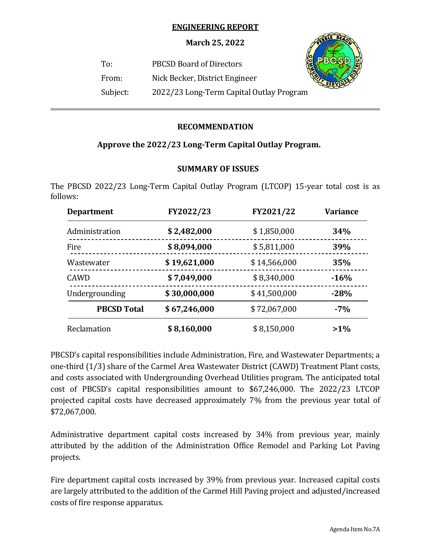## **ENGINEERING REPORT**

**March 25, 2022**

To: PBCSD Board of Directors



From: Nick Becker, District Engineer

 $\overline{a}$ 

Subject: 2022/23 Long-Term Capital Outlay Program

# **RECOMMENDATION**

# **Approve the 2022/23 Long‐Term Capital Outlay Program.**

# **SUMMARY OF ISSUES**

The PBCSD 2022/23 Long-Term Capital Outlay Program (LTCOP) 15-year total cost is as follows:

| <b>Department</b>  | FY2022/23    | FY2021/22    | <b>Variance</b> |
|--------------------|--------------|--------------|-----------------|
| Administration     | \$2,482,000  | \$1,850,000  | 34%             |
| Fire               | \$8,094,000  | \$5,811,000  | 39%             |
| Wastewater         | \$19,621,000 | \$14,566,000 | 35%             |
| <b>CAWD</b>        | \$7,049,000  | \$8,340,000  | $-16%$          |
| Undergrounding     | \$30,000,000 | \$41,500,000 | $-28%$          |
| <b>PBCSD Total</b> | \$67,246,000 | \$72,067,000 | $-7%$           |
| Reclamation        | \$8,160,000  | \$8,150,000  | $>1\%$          |

PBCSD's capital responsibilities include Administration, Fire, and Wastewater Departments; a one-third (1/3) share of the Carmel Area Wastewater District (CAWD) Treatment Plant costs, and costs associated with Undergrounding Overhead Utilities program. The anticipated total cost of PBCSD's capital responsibilities amount to \$67,246,000. The 2022/23 LTCOP projected capital costs have decreased approximately 7% from the previous year total of \$72,067,000.

Administrative department capital costs increased by 34% from previous year, mainly attributed by the addition of the Administration Office Remodel and Parking Lot Paving projects.

Fire department capital costs increased by 39% from previous year. Increased capital costs are largely attributed to the addition of the Carmel Hill Paving project and adjusted/increased costs of fire response apparatus.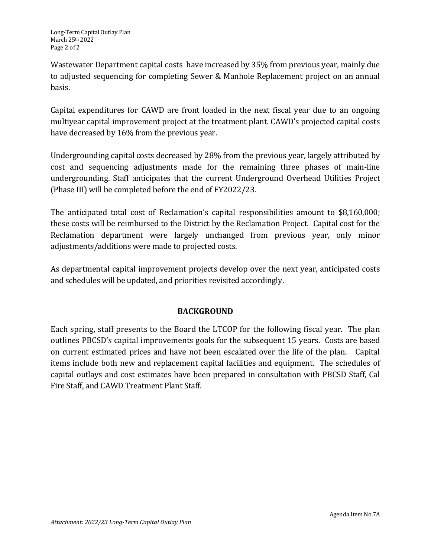Wastewater Department capital costs have increased by 35% from previous year, mainly due to adjusted sequencing for completing Sewer & Manhole Replacement project on an annual basis.

Capital expenditures for CAWD are front loaded in the next fiscal year due to an ongoing multiyear capital improvement project at the treatment plant. CAWD's projected capital costs have decreased by 16% from the previous year.

Undergrounding capital costs decreased by 28% from the previous year, largely attributed by cost and sequencing adjustments made for the remaining three phases of main-line undergrounding. Staff anticipates that the current Underground Overhead Utilities Project (Phase III) will be completed before the end of FY2022/23.

The anticipated total cost of Reclamation's capital responsibilities amount to \$8,160,000; these costs will be reimbursed to the District by the Reclamation Project. Capital cost for the Reclamation department were largely unchanged from previous year, only minor adjustments/additions were made to projected costs.

As departmental capital improvement projects develop over the next year, anticipated costs and schedules will be updated, and priorities revisited accordingly.

# **BACKGROUND**

Each spring, staff presents to the Board the LTCOP for the following fiscal year. The plan outlines PBCSD's capital improvements goals for the subsequent 15 years. Costs are based on current estimated prices and have not been escalated over the life of the plan. Capital items include both new and replacement capital facilities and equipment. The schedules of capital outlays and cost estimates have been prepared in consultation with PBCSD Staff, Cal Fire Staff, and CAWD Treatment Plant Staff.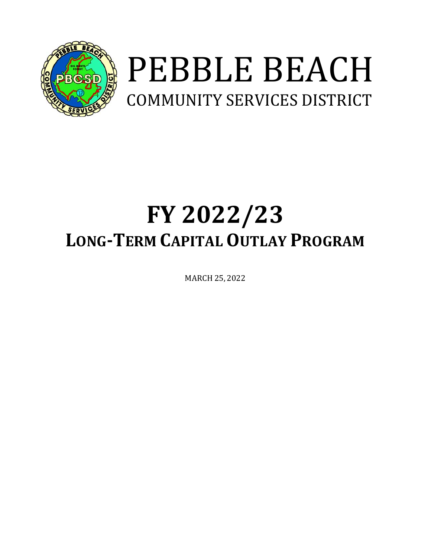

# PEBBLE BEACH COMMUNITY SERVICES DISTRICT

# **FY 2022/23 LONG‐TERM CAPITAL OUTLAY PROGRAM**

MARCH 25, 2022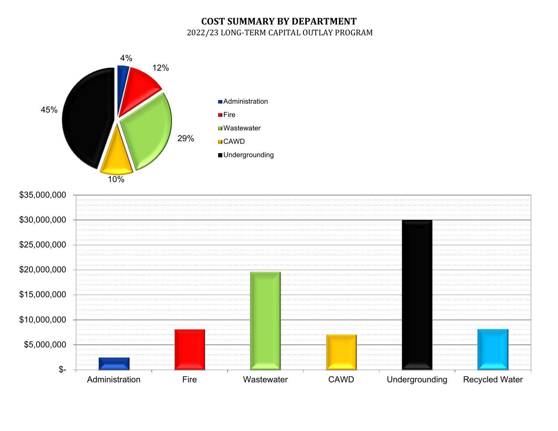# **COST SUMMARY BY DEPARTMENT** 2022/23 LONG-TERM CAPITAL OUTLAY PROGRAM



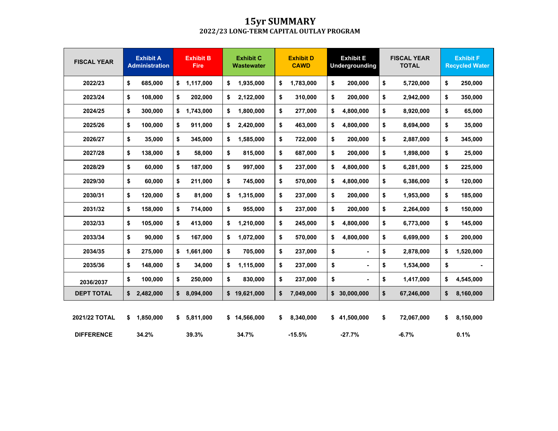## **15yr SUMMARY 2022/23 LONG‐TERM CAPITAL OUTLAY PROGRAM**

| <b>FISCAL YEAR</b> | <b>Exhibit A</b>      | <b>Exhibit B</b> | <b>Exhibit C</b>  | <b>Exhibit D</b> | <b>Exhibit E</b>      | <b>FISCAL YEAR</b> | <b>Exhibit F</b>      |
|--------------------|-----------------------|------------------|-------------------|------------------|-----------------------|--------------------|-----------------------|
|                    | <b>Administration</b> | <b>Fire</b>      | <b>Wastewater</b> | <b>CAWD</b>      | <b>Undergrounding</b> | <b>TOTAL</b>       | <b>Recycled Water</b> |
| 2022/23            | \$                    | \$               | \$                | \$               | \$                    | \$                 | \$                    |
|                    | 685,000               | 1,117,000        | 1,935,000         | 1,783,000        | 200,000               | 5,720,000          | 250,000               |
| 2023/24            | \$                    | \$               | \$                | 310,000          | \$                    | \$                 | \$                    |
|                    | 108,000               | 202,000          | 2,122,000         | \$               | 200,000               | 2,942,000          | 350,000               |
| 2024/25            | \$                    | \$               | 1,800,000         | \$               | \$                    | \$                 | \$                    |
|                    | 300,000               | 1,743,000        | \$                | 277,000          | 4,800,000             | 8,920,000          | 65,000                |
| 2025/26            | \$                    | \$               | \$                | \$               | \$                    | \$                 | \$                    |
|                    | 100,000               | 911,000          | 2,420,000         | 463,000          | 4,800,000             | 8,694,000          | 35,000                |
| 2026/27            | \$                    | \$               | 1,585,000         | \$               | \$                    | \$                 | \$                    |
|                    | 35,000                | 345,000          | \$                | 722,000          | 200,000               | 2,887,000          | 345,000               |
| 2027/28            | \$                    | \$               | 815,000           | \$               | \$                    | \$                 | \$                    |
|                    | 138,000               | 58,000           | \$                | 687,000          | 200,000               | 1,898,000          | 25,000                |
| 2028/29            | \$                    | \$               | \$                | \$               | \$                    | \$                 | \$                    |
|                    | 60,000                | 187,000          | 997,000           | 237,000          | 4,800,000             | 6,281,000          | 225,000               |
| 2029/30            | \$                    | \$               | \$                | \$               | \$                    | \$                 | \$                    |
|                    | 60,000                | 211,000          | 745,000           | 570,000          | 4,800,000             | 6,386,000          | 120,000               |
| 2030/31            | \$                    | \$               | \$                | \$               | \$                    | \$                 | \$                    |
|                    | 120,000               | 81,000           | 1,315,000         | 237,000          | 200,000               | 1,953,000          | 185,000               |
| 2031/32            | \$                    | \$               | \$                | \$               | \$                    | \$                 | \$                    |
|                    | 158,000               | 714,000          | 955,000           | 237,000          | 200,000               | 2,264,000          | 150,000               |
| 2032/33            | \$                    | \$               | \$                | \$               | \$                    | \$                 | \$                    |
|                    | 105,000               | 413,000          | 1,210,000         | 245,000          | 4,800,000             | 6,773,000          | 145,000               |
| 2033/34            | \$                    | \$               | 1,072,000         | \$               | 4,800,000             | \$                 | 200,000               |
|                    | 90,000                | 167,000          | \$                | 570,000          | \$                    | 6,699,000          | \$                    |
| 2034/35            | \$                    | \$               | \$                | \$               | \$                    | \$                 | \$                    |
|                    | 275,000               | 1,661,000        | 705,000           | 237,000          | $\blacksquare$        | 2,878,000          | 1,520,000             |
| 2035/36            | \$<br>148,000         | \$<br>34,000     | \$<br>1,115,000   | \$<br>237,000    | \$<br>$\blacksquare$  | \$<br>1,534,000    | \$                    |
| 2036/2037          | \$<br>100,000         | \$<br>250,000    | \$<br>830,000     | \$<br>237,000    | \$                    | \$<br>1,417,000    | \$<br>4,545,000       |
| <b>DEPT TOTAL</b>  | \$<br>2,482,000       | \$<br>8,094,000  | \$19,621,000      | \$<br>7,049,000  | \$30,000,000          | \$<br>67,246,000   | \$<br>8,160,000       |
| 2021/22 TOTAL      | 1,850,000<br>\$       | \$<br>5,811,000  | \$14,566,000      | \$<br>8,340,000  | \$41,500,000          | \$<br>72,067,000   | \$<br>8,150,000       |
| <b>DIFFERENCE</b>  | 34.2%                 | 39.3%            | 34.7%             | $-15.5%$         | $-27.7%$              | $-6.7%$            | 0.1%                  |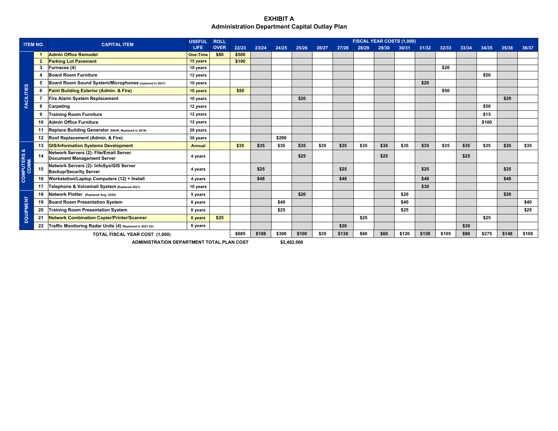#### **EXHIBIT A Administration Department Capital Outlay Plan**

| <b>ITEM NO.</b>                  |    | <b>CAPITAL ITEM</b>                                                         | <b>USEFUL</b>   | <b>ROLL</b> |       |       |       |       |       |       |       |       | FISCAL YEAR COSTS (1,000) |       |       |       |       |       |       |
|----------------------------------|----|-----------------------------------------------------------------------------|-----------------|-------------|-------|-------|-------|-------|-------|-------|-------|-------|---------------------------|-------|-------|-------|-------|-------|-------|
|                                  |    |                                                                             | LIFE.           | <b>OVER</b> | 22/23 | 23/24 | 24/25 | 25/26 | 26/27 | 27/28 | 28/29 | 29/30 | 30/31                     | 31/32 | 32/33 | 33/34 | 34/35 | 35/36 | 36/37 |
|                                  |    | <b>Admin Office Remodel</b>                                                 | <b>One-Time</b> | \$80        | \$500 |       |       |       |       |       |       |       |                           |       |       |       |       |       |       |
|                                  |    | <b>Parking Lot Pavement</b>                                                 | 15 years        |             | \$100 |       |       |       |       |       |       |       |                           |       |       |       |       |       |       |
|                                  |    | Furnaces (4)                                                                | 10 years        |             |       |       |       |       |       |       |       |       |                           |       | \$20  |       |       |       |       |
|                                  |    | <b>Board Room Furniture</b>                                                 | 12 years        |             |       |       |       |       |       |       |       |       |                           |       |       |       | \$50  |       |       |
|                                  | 5  | Board Room Sound System/Microphones (replaced in 2021)                      | 10 years        |             |       |       |       |       |       |       |       |       |                           | \$20  |       |       |       |       |       |
|                                  | 6  | Paint Building Exterior (Admin. & Fire)                                     | 10 years        |             | \$50  |       |       |       |       |       |       |       |                           |       | \$50  |       |       |       |       |
| <b>FACILITIES</b>                |    | Fire Alarm System Replacement                                               | 10 years        |             |       |       |       | \$20  |       |       |       |       |                           |       |       |       |       | \$20  |       |
|                                  | 8  | Carpeting                                                                   | 12 years        |             |       |       |       |       |       |       |       |       |                           |       |       |       | \$50  |       |       |
|                                  |    | <b>Training Room Furniture</b>                                              | 12 years        |             |       |       |       |       |       |       |       |       |                           |       |       |       | \$15  |       |       |
|                                  |    | <b>Admin Office Furniture</b>                                               | 12 years        |             |       |       |       |       |       |       |       |       |                           |       |       |       | \$100 |       |       |
|                                  |    | Replace Building Generator (80kW_Replaced in 2019)                          | 20 years        |             |       |       |       |       |       |       |       |       |                           |       |       |       |       |       |       |
|                                  |    | 12 Roof Replacement (Admin. & Fire)                                         | 30 years        |             |       |       | \$200 |       |       |       |       |       |                           |       |       |       |       |       |       |
|                                  |    | 13 GIS/Information Systems Development                                      | <b>Annual</b>   |             | \$35  | \$35  | \$35  | \$35  | \$35  | \$35  | \$35  | \$35  | \$35                      | \$35  | \$35  | \$35  | \$35  | \$35  | \$35  |
| ಜ                                | 14 | Network Servers (2): File/Email Server<br><b>Document Management Server</b> | 4 years         |             |       |       |       | \$25  |       |       |       | \$25  |                           |       |       | \$25  |       |       |       |
| <b>COMPUTERS &amp;<br/>COMM.</b> | 15 | Network Servers (2): InfoSys/GIS Server<br><b>Backup/Security Server</b>    | 4 years         |             |       | \$25  |       |       |       | \$25  |       |       |                           | \$25  |       |       |       | \$25  |       |
|                                  | 16 | <b>Workstation/Laptop Computers (12) + Install</b>                          | 4 years         |             |       | \$48  |       |       |       | \$48  |       |       |                           | \$48  |       |       |       | \$48  |       |
|                                  | 17 | Telephone & Voicemail System (Replaced 2021)                                | 10 years        |             |       |       |       |       |       |       |       |       |                           | \$30  |       |       |       |       |       |
|                                  | 18 | Network Plotter (Replaced Aug. 2020)                                        | 5 years         |             |       |       |       | \$20  |       |       |       |       | \$20                      |       |       |       |       | \$20  |       |
|                                  | 19 | <b>Board Room Presentation System</b>                                       | 6 years         |             |       |       | \$40  |       |       |       |       |       | \$40                      |       |       |       |       |       | \$40  |
| EQUIPMENT                        | 20 | <b>Training Room Presentation System</b>                                    | 6 years         |             |       |       | \$25  |       |       |       |       |       | \$25                      |       |       |       |       |       | \$25  |
|                                  | 21 | <b>Network Combination Copier/Printer/Scanner</b>                           | 6 years         | \$25        |       |       |       |       |       |       | \$25  |       |                           |       |       |       | \$25  |       |       |
|                                  | 22 | Traffic Monitoring Radar Units (4) (Replaced in 2021-22)                    | 6 years         |             |       |       |       |       |       | \$30  |       |       |                           |       |       | \$30  |       |       |       |
|                                  |    | TOTAL FISCAL YEAR COST (1,000)                                              |                 |             | \$685 | \$108 | \$300 | \$100 | \$35  | \$138 | \$60  | \$60  | \$120                     | \$158 | \$105 | \$90  | \$275 | \$148 | \$100 |

**ADMINISTRATION DEPARTMENT TOTAL PLAN COST \$2,482,000**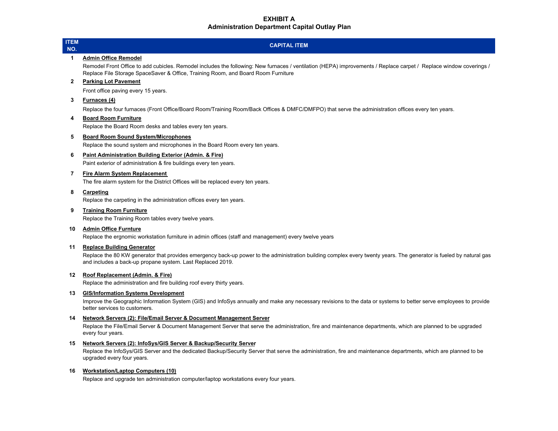#### **EXHIBIT AAdministration Department Capital Outlay Plan**

# **CAPITAL ITEM**

#### **1 Admin Office Remodel**

Remodel Front Office to add cubicles. Remodel includes the following: New furnaces / ventilation (HEPA) improvements / Replace carpet / Replace window coverings / Replace File Storage SpaceSaver & Office, Training Room, and Board Room Furniture

#### **2 Parking Lot Pavement**

Front office paving every 15 years.

#### **3 Furnaces (4)**

Replace the four furnaces (Front Office/Board Room/Training Room/Back Offices & DMFC/DMFPO) that serve the administration offices every ten years.

#### **4 Board Room Furniture**

Replace the Board Room desks and tables every ten years.

#### **5 Board Room Sound System/Microphones**

Replace the sound system and microphones in the Board Room every ten years.

#### **6 Paint Administration Building Exterior (Admin. & Fire)**

Paint exterior of administration & fire buildings every ten years.

#### **7 Fire Alarm System Replacement**

The fire alarm system for the District Offices will be replaced every ten years.

#### **8 Carpeting**

Replace the carpeting in the administration offices every ten years.

#### **9 Training Room Furniture**

Replace the Training Room tables every twelve years.

#### **10 Admin Office Furnture**

Replace the ergnomic workstation furniture in admin offices (staff and management) every twelve years

#### **11 Replace Building Generator**

Replace the 80 KW generator that provides emergency back-up power to the administration building complex every twenty years. The generator is fueled by natural gas and includes a back-up propane system. Last Replaced 2019.

#### **12 Roof Replacement (Admin. & Fire)**

Replace the administration and fire building roof every thirty years.

#### **13 GIS/Information Systems Development**

Improve the Geographic Information System (GIS) and InfoSys annually and make any necessary revisions to the data or systems to better serve employees to provide better services to customers.

#### **14 Network Servers (2): File/Email Server & Document Management Server**

Replace the File/Email Server & Document Management Server that serve the administration, fire and maintenance departments, which are planned to be upgraded every four years.

#### **15 Network Servers (2): InfoSys/GIS Server & Backup/Security Server**

Replace the InfoSys/GIS Server and the dedicated Backup/Security Server that serve the administration, fire and maintenance departments, which are planned to be upgraded every four years.

#### **16 Workstation/Laptop Computers (10)**

Replace and upgrade ten administration computer/laptop workstations every four years.

#### **ITEM NO.**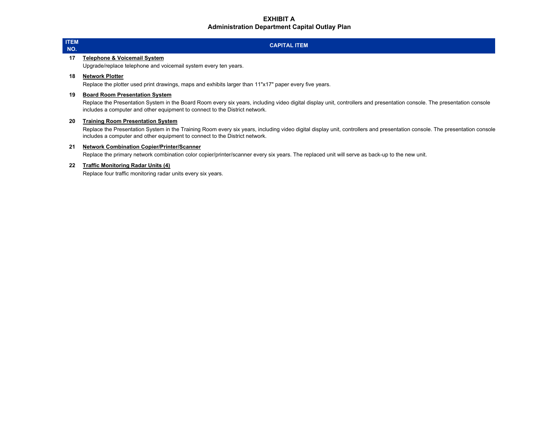#### **EXHIBIT AAdministration Department Capital Outlay Plan**

#### **ITEM NO.**

## **CAPITAL ITEM**

#### **17 Telephone & Voicemail System**

Upgrade/replace telephone and voicemail system every ten years.

#### **18 Network Plotter**

Replace the plotter used print drawings, maps and exhibits larger than 11"x17" paper every five years.

#### **19 Board Room Presentation System**

Replace the Presentation System in the Board Room every six years, including video digital display unit, controllers and presentation console. The presentation console includes a computer and other equipment to connect to the District network.

#### **20 Training Room Presentation System**

Replace the Presentation System in the Training Room every six years, including video digital display unit, controllers and presentation console. The presentation console. includes a computer and other equipment to connect to the District network.

#### **21 Network Combination Copier/Printer/Scanner**

Replace the primary network combination color copier/printer/scanner every six years. The replaced unit will serve as back-up to the new unit.

#### **22 Traffic Monitoring Radar Units (4)**

Replace four traffic monitoring radar units every six years.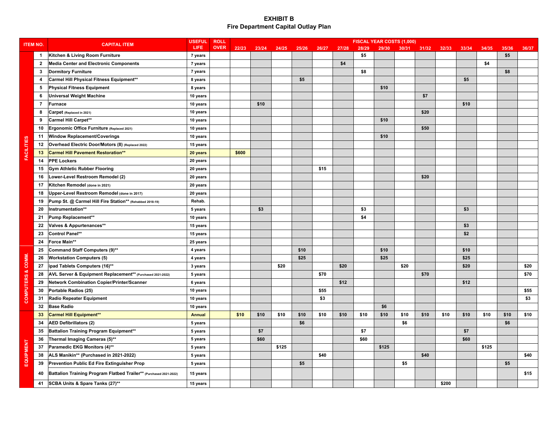|                              |                |                                                                    | <b>USEFUL</b> | <b>ROLL</b> |       |       |       |       |       |       |       |       | FISCAL YEAR COSTS (1,000) |       |       |       |       |       |       |
|------------------------------|----------------|--------------------------------------------------------------------|---------------|-------------|-------|-------|-------|-------|-------|-------|-------|-------|---------------------------|-------|-------|-------|-------|-------|-------|
| <b>ITEM NO.</b>              |                | <b>CAPITAL ITEM</b>                                                | <b>LIFE</b>   | <b>OVER</b> | 22/23 | 23/24 | 24/25 | 25/26 | 26/27 | 27/28 | 28/29 | 29/30 | 30/31                     | 31/32 | 32/33 | 33/34 | 34/35 | 35/36 | 36/37 |
|                              | $\mathbf{1}$   | Kitchen & Living Room Furniture                                    | 7 years       |             |       |       |       |       |       |       | \$5   |       |                           |       |       |       |       | \$5   |       |
|                              | $\overline{2}$ | <b>Media Center and Electronic Components</b>                      | 7 years       |             |       |       |       |       |       | \$4   |       |       |                           |       |       |       | \$4   |       |       |
|                              | 3              | <b>Dormitory Furniture</b>                                         | 7 years       |             |       |       |       |       |       |       | \$8   |       |                           |       |       |       |       | \$8   |       |
|                              | 4              | <b>Carmel Hill Physical Fitness Equipment**</b>                    | 8 years       |             |       |       |       | \$5   |       |       |       |       |                           |       |       | \$5   |       |       |       |
|                              | -5             | <b>Physical Fitness Equipment</b>                                  | 8 years       |             |       |       |       |       |       |       |       | \$10  |                           |       |       |       |       |       |       |
|                              | 6              | <b>Universal Weight Machine</b>                                    | 10 years      |             |       |       |       |       |       |       |       |       |                           | \$7   |       |       |       |       |       |
|                              | $\overline{7}$ | <b>Furnace</b>                                                     | 10 years      |             |       | \$10  |       |       |       |       |       |       |                           |       |       | \$10  |       |       |       |
|                              | 8              | Carpet (Replaced in 2021)                                          | 10 years      |             |       |       |       |       |       |       |       |       |                           | \$20  |       |       |       |       |       |
|                              | 9              | <b>Carmel Hill Carpet**</b>                                        | 10 years      |             |       |       |       |       |       |       |       | \$10  |                           |       |       |       |       |       |       |
|                              | 10             | Ergonomic Office Furniture (Replaced 2021)                         | 10 years      |             |       |       |       |       |       |       |       |       |                           | \$50  |       |       |       |       |       |
|                              | 11             | Window Replacement/Coverings                                       | 10 years      |             |       |       |       |       |       |       |       | \$10  |                           |       |       |       |       |       |       |
| <b>FACILITIES</b>            | 12             | Overhead Electric Door/Motors (8) (Replaced 2022)                  | 15 years      |             |       |       |       |       |       |       |       |       |                           |       |       |       |       |       |       |
|                              | 13             | <b>Carmel Hill Pavement Restoration**</b>                          | 20 years      |             | \$600 |       |       |       |       |       |       |       |                           |       |       |       |       |       |       |
|                              | 14             | <b>PPE Lockers</b>                                                 | 20 years      |             |       |       |       |       |       |       |       |       |                           |       |       |       |       |       |       |
|                              | 15             | <b>Gym Athletic Rubber Flooring</b>                                | 20 years      |             |       |       |       |       | \$15  |       |       |       |                           |       |       |       |       |       |       |
|                              | 16             | Lower-Level Restroom Remodel (2)                                   | 20 years      |             |       |       |       |       |       |       |       |       |                           | \$20  |       |       |       |       |       |
|                              | 17             | Kitchen Remodel (done in 2021)                                     | 20 years      |             |       |       |       |       |       |       |       |       |                           |       |       |       |       |       |       |
|                              | 18             | Upper-Level Restroom Remodel (done in 2017)                        | 20 years      |             |       |       |       |       |       |       |       |       |                           |       |       |       |       |       |       |
|                              | 19             | Pump St. @ Carmel Hill Fire Station** (Rehabbed 2018-19)           | Rehab.        |             |       |       |       |       |       |       |       |       |                           |       |       |       |       |       |       |
|                              | 20             | Instrumentation**                                                  | 5 years       |             |       | \$3   |       |       |       |       | \$3   |       |                           |       |       | \$3   |       |       |       |
|                              | 21             | Pump Replacement**                                                 | 10 years      |             |       |       |       |       |       |       | \$4   |       |                           |       |       |       |       |       |       |
|                              | 22             | Valves & Appurtenances**                                           | 15 years      |             |       |       |       |       |       |       |       |       |                           |       |       | \$3   |       |       |       |
|                              | 23             | <b>Control Panel**</b>                                             | 15 years      |             |       |       |       |       |       |       |       |       |                           |       |       | \$2   |       |       |       |
|                              | 24             | Force Main**                                                       | 25 years      |             |       |       |       |       |       |       |       |       |                           |       |       |       |       |       |       |
|                              | 25             | Command Staff Computers (9)**                                      | 4 years       |             |       |       |       | \$10  |       |       |       | \$10  |                           |       |       | \$10  |       |       |       |
|                              | 26             | <b>Workstation Computers (5)</b>                                   | 4 years       |             |       |       |       | \$25  |       |       |       | \$25  |                           |       |       | \$25  |       |       |       |
|                              | 27             | ipad Tablets Computers (16)**                                      | 3 years       |             |       |       | \$20  |       |       | \$20  |       |       | \$20                      |       |       | \$20  |       |       | \$20  |
|                              | 28             | AVL Server & Equipment Replacement** (Purchased 2021-2022)         | 5 years       |             |       |       |       |       | \$70  |       |       |       |                           | \$70  |       |       |       |       | \$70  |
|                              | 29             | Network Combination Copier/Printer/Scanner                         | 6 years       |             |       |       |       |       |       | \$12  |       |       |                           |       |       | \$12  |       |       |       |
| <b>COMPUTERS &amp; COMM.</b> | 30             | Portable Radios (25)                                               | 10 years      |             |       |       |       |       | \$55  |       |       |       |                           |       |       |       |       |       | \$55  |
|                              | 31             | <b>Radio Repeater Equipment</b>                                    | 10 years      |             |       |       |       |       | \$3   |       |       |       |                           |       |       |       |       |       | \$3   |
|                              | 32             | <b>Base Radio</b>                                                  | 10 years      |             |       |       |       |       |       |       |       | \$6   |                           |       |       |       |       |       |       |
|                              | 33             | <b>Carmel Hill Equipment**</b>                                     | <b>Annual</b> |             | \$10  | \$10  | \$10  | \$10  | \$10  | \$10  | \$10  | \$10  | \$10                      | \$10  | \$10  | \$10  | \$10  | \$10  | \$10  |
|                              | 34             | <b>AED Defibrillators (2)</b>                                      | 5 years       |             |       |       |       | \$6   |       |       |       |       | \$6                       |       |       |       |       | \$6   |       |
|                              | 35             | <b>Battalion Training Program Equipment**</b>                      | 5 years       |             |       | \$7   |       |       |       |       | \$7   |       |                           |       |       | \$7   |       |       |       |
|                              | 36             | Thermal Imaging Cameras (5)**                                      | 5 years       |             |       | \$60  |       |       |       |       | \$60  |       |                           |       |       | \$60  |       |       |       |
| <b>EQUIPMENT</b>             | 37             | Paramedic EKG Monitors (4)**                                       | 5 years       |             |       |       | \$125 |       |       |       |       | \$125 |                           |       |       |       | \$125 |       |       |
|                              | 38             | ALS Manikin** (Purchased in 2021-2022)                             | 5 years       |             |       |       |       |       | \$40  |       |       |       |                           | \$40  |       |       |       |       | \$40  |
|                              | 39             | Prevention Public Ed Fire Extinguisher Prop                        | 5 years       |             |       |       |       | \$5   |       |       |       |       | \$5                       |       |       |       |       | \$5   |       |
|                              | 40             | Battalion Training Program Flatbed Trailer** (Purchased 2021-2022) | 15 years      |             |       |       |       |       |       |       |       |       |                           |       |       |       |       |       | \$15  |
|                              | 41             | SCBA Units & Spare Tanks (27)**                                    | 15 years      |             |       |       |       |       |       |       |       |       |                           |       | \$200 |       |       |       |       |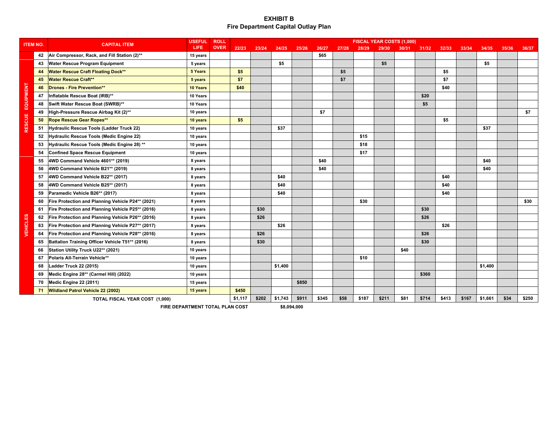| <b>ITEM NO.</b> |    | <b>CAPITAL ITEM</b>                               | <b>USEFUL</b> | <b>ROLL</b> |         |       |         |       |       |       |       | <b>FISCAL YEAR COSTS (1,000)</b> |       |       |       |       |         |       |       |
|-----------------|----|---------------------------------------------------|---------------|-------------|---------|-------|---------|-------|-------|-------|-------|----------------------------------|-------|-------|-------|-------|---------|-------|-------|
|                 |    |                                                   | <b>LIFE</b>   | <b>OVER</b> | 22/23   | 23/24 | 24/25   | 25/26 | 26/27 | 27/28 | 28/29 | 29/30                            | 30/31 | 31/32 | 32/33 | 33/34 | 34/35   | 35/36 | 36/37 |
|                 | 42 | Air Compressor, Rack, and Fill Station (2)**      | 15 years      |             |         |       |         |       | \$65  |       |       |                                  |       |       |       |       |         |       |       |
|                 | 43 | <b>Water Rescue Program Equipment</b>             | 5 years       |             |         |       | \$5     |       |       |       |       | \$5                              |       |       |       |       | \$5     |       |       |
|                 | 44 | <b>Water Rescue Craft Floating Dock**</b>         | 5 Years       |             | \$5     |       |         |       |       | \$5   |       |                                  |       |       | \$5   |       |         |       |       |
|                 | 45 | <b>Water Rescue Craft**</b>                       | 5 years       |             | \$7     |       |         |       |       | \$7   |       |                                  |       |       | \$7   |       |         |       |       |
|                 | 46 | <b>Drones - Fire Prevention**</b>                 | 10 Years      |             | \$40    |       |         |       |       |       |       |                                  |       |       | \$40  |       |         |       |       |
|                 | 47 | Inflatable Rescue Boat (IRB)**                    | 10 Years      |             |         |       |         |       |       |       |       |                                  |       | \$20  |       |       |         |       |       |
| EQUIPMENT       | 48 | Swift Water Rescue Boat (SWRB)**                  | 10 Years      |             |         |       |         |       |       |       |       |                                  |       | \$5   |       |       |         |       |       |
|                 | 49 | High-Pressure Rescue Airbag Kit (2)**             | 10 years      |             |         |       |         |       | \$7   |       |       |                                  |       |       |       |       |         |       | \$7   |
| <b>RESCUE</b>   | 50 | Rope Rescue Gear Ropes**                          | 10 years      |             | \$5     |       |         |       |       |       |       |                                  |       |       | \$5   |       |         |       |       |
|                 | 51 | Hydraulic Rescue Tools (Ladder Truck 22)          | 10 years      |             |         |       | \$37    |       |       |       |       |                                  |       |       |       |       | \$37    |       |       |
|                 | 52 | Hydraulic Rescue Tools (Medic Engine 22)          | 10 years      |             |         |       |         |       |       |       | \$15  |                                  |       |       |       |       |         |       |       |
|                 | 53 | Hydraulic Rescue Tools (Medic Engine 28) **       | 10 years      |             |         |       |         |       |       |       | \$18  |                                  |       |       |       |       |         |       |       |
|                 | 54 | <b>Confined Space Rescue Equipment</b>            | 10 years      |             |         |       |         |       |       |       | \$17  |                                  |       |       |       |       |         |       |       |
|                 | 55 | 4WD Command Vehicle 4601** (2019)                 | 8 years       |             |         |       |         |       | \$40  |       |       |                                  |       |       |       |       | \$40    |       |       |
|                 | 56 | 4WD Command Vehicle B21** (2019)                  | 8 years       |             |         |       |         |       | \$40  |       |       |                                  |       |       |       |       | \$40    |       |       |
|                 | 57 | 4WD Command Vehicle B22** (2017)                  | 8 years       |             |         |       | \$40    |       |       |       |       |                                  |       |       | \$40  |       |         |       |       |
|                 | 58 | 4WD Command Vehicle B25** (2017)                  | 8 years       |             |         |       | \$40    |       |       |       |       |                                  |       |       | \$40  |       |         |       |       |
|                 | 59 | Paramedic Vehicle B26** (2017)                    | 8 years       |             |         |       | \$40    |       |       |       |       |                                  |       |       | \$40  |       |         |       |       |
|                 | 60 | Fire Protection and Planning Vehicle P24** (2021) | 8 years       |             |         |       |         |       |       |       | \$30  |                                  |       |       |       |       |         |       | \$30  |
|                 | 61 | Fire Protection and Planning Vehicle P25** (2016) | 8 years       |             |         | \$30  |         |       |       |       |       |                                  |       | \$30  |       |       |         |       |       |
|                 | 62 | Fire Protection and Planning Vehicle P26** (2016) | 8 years       |             |         | \$26  |         |       |       |       |       |                                  |       | \$26  |       |       |         |       |       |
| <b>VEHICLES</b> | 63 | Fire Protection and Planning Vehicle P27** (2017) | 8 years       |             |         |       | \$26    |       |       |       |       |                                  |       |       | \$26  |       |         |       |       |
|                 | 64 | Fire Protection and Planning Vehicle P28** (2016) | 8 years       |             |         | \$26  |         |       |       |       |       |                                  |       | \$26  |       |       |         |       |       |
|                 | 65 | Battalion Training Officer Vehicle T51** (2016)   | 8 years       |             |         | \$30  |         |       |       |       |       |                                  |       | \$30  |       |       |         |       |       |
|                 | 66 | Station Utility Truck U22** (2021)                | 10 years      |             |         |       |         |       |       |       |       |                                  | \$40  |       |       |       |         |       |       |
|                 | 67 | Polaris All-Terrain Vehicle**                     | 10 years      |             |         |       |         |       |       |       | \$10  |                                  |       |       |       |       |         |       |       |
|                 | 68 | Ladder Truck 22 (2015)                            | 10 years      |             |         |       | \$1,400 |       |       |       |       |                                  |       |       |       |       | \$1,400 |       |       |
|                 | 69 | Medic Engine 28** (Carmel Hill) (2022)            | 10 years      |             |         |       |         |       |       |       |       |                                  |       | \$360 |       |       |         |       |       |
|                 | 70 | Medic Engine 22 (2011)                            | 15 years      |             |         |       |         | \$850 |       |       |       |                                  |       |       |       |       |         |       |       |
|                 | 71 | <b>Wildland Patrol Vehicle 22 (2002)</b>          | 15 years      |             | \$450   |       |         |       |       |       |       |                                  |       |       |       |       |         |       |       |
|                 |    | TOTAL FISCAL YEAR COST (1,000)                    |               |             | \$1,117 | \$202 | \$1,743 | \$911 | \$345 | \$58  | \$187 | \$211                            | \$81  | \$714 | \$413 | \$167 | \$1,661 | \$34  | \$250 |
|                 |    | FIRE DEPARTMENT TOTAL PLAN COST                   |               | \$8.094.000 |         |       |         |       |       |       |       |                                  |       |       |       |       |         |       |       |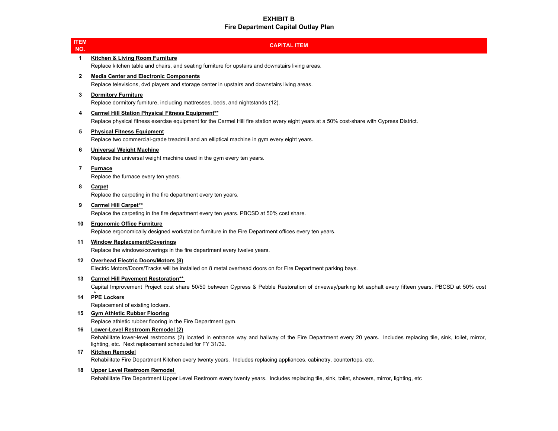| <u>ITEM</u><br>NO. | <b>CAPITAL ITEM</b>                                                                                                                                                                                                                                             |
|--------------------|-----------------------------------------------------------------------------------------------------------------------------------------------------------------------------------------------------------------------------------------------------------------|
| 1                  | <b>Kitchen &amp; Living Room Furniture</b><br>Replace kitchen table and chairs, and seating furniture for upstairs and downstairs living areas.                                                                                                                 |
| $\mathbf{2}$       | <b>Media Center and Electronic Components</b><br>Replace televisions, dvd players and storage center in upstairs and downstairs living areas.                                                                                                                   |
| 3                  | <b>Dormitory Furniture</b><br>Replace dormitory furniture, including mattresses, beds, and nightstands (12).                                                                                                                                                    |
| 4                  | <b>Carmel Hill Station Physical Fitness Equipment**</b><br>Replace physical fitness exercise equipment for the Carmel Hill fire station every eight years at a 50% cost-share with Cypress District.                                                            |
| 5                  | <b>Physical Fitness Equipment</b><br>Replace two commercial-grade treadmill and an elliptical machine in gym every eight years.                                                                                                                                 |
| 6                  | <b>Universal Weight Machine</b><br>Replace the universal weight machine used in the gym every ten years.                                                                                                                                                        |
| 7                  | <b>Furnace</b><br>Replace the furnace every ten years.                                                                                                                                                                                                          |
| 8                  | Carpet<br>Replace the carpeting in the fire department every ten years.                                                                                                                                                                                         |
| 9                  | <b>Carmel Hill Carpet**</b><br>Replace the carpeting in the fire department every ten years. PBCSD at 50% cost share.                                                                                                                                           |
| 10                 | <b>Ergonomic Office Furniture</b><br>Replace ergonomically designed workstation furniture in the Fire Department offices every ten years.                                                                                                                       |
| 11                 | <b>Window Replacement/Coverings</b><br>Replace the windows/coverings in the fire department every twelve years.                                                                                                                                                 |
| 12                 | <b>Overhead Electric Doors/Motors (8)</b><br>Electric Motors/Doors/Tracks will be installed on 8 metal overhead doors on for Fire Department parking bays.                                                                                                      |
| 13                 | <b>Carmel Hill Pavement Restoration**</b><br>Capital Improvement Project cost share 50/50 between Cypress & Pebble Restoration of driveway/parking lot asphalt every fifteen years. PBCSD at 50% cost                                                           |
| 14                 | <b>PPE Lockers</b><br>Replacement of existing lockers.                                                                                                                                                                                                          |
| 15                 | <b>Gym Athletic Rubber Flooring</b><br>Replace athletic rubber flooring in the Fire Department gym.                                                                                                                                                             |
| 16.                | Lower-Level Restroom Remodel (2)<br>Rehabilitate lower-level restrooms (2) located in entrance way and hallway of the Fire Department every 20 years. Includes replacing tile, sink, toilet, mirror,<br>lighting, etc. Next replacement scheduled for FY 31/32. |
| 17                 | <b>Kitchen Remodel</b><br>Rehabilitate Fire Department Kitchen every twenty years. Includes replacing appliances, cabinetry, countertops, etc.                                                                                                                  |

### **18 Upper Level Restroom Remodel**

Rehabilitate Fire Department Upper Level Restroom every twenty years. Includes replacing tile, sink, toilet, showers, mirror, lighting, etc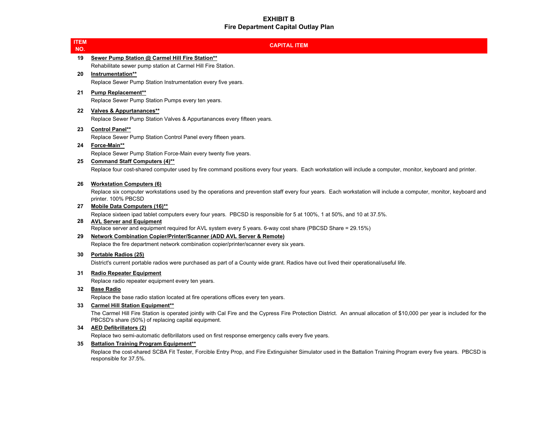| <u>ITEM</u><br>NO. | <b>CAPITAL ITEM</b>                                                                                                                                                                                                           |
|--------------------|-------------------------------------------------------------------------------------------------------------------------------------------------------------------------------------------------------------------------------|
| 19                 | Sewer Pump Station @ Carmel Hill Fire Station**                                                                                                                                                                               |
| 20                 | Rehabilitate sewer pump station at Carmel Hill Fire Station.<br>Instrumentation**                                                                                                                                             |
|                    | Replace Sewer Pump Station Instrumentation every five years.                                                                                                                                                                  |
| 21                 | <b>Pump Replacement**</b>                                                                                                                                                                                                     |
|                    | Replace Sewer Pump Station Pumps every ten years.                                                                                                                                                                             |
| 22                 | Valves & Appurtanances**                                                                                                                                                                                                      |
|                    | Replace Sewer Pump Station Valves & Appurtanances every fifteen years.                                                                                                                                                        |
| 23                 | <b>Control Panel**</b><br>Replace Sewer Pump Station Control Panel every fifteen years.                                                                                                                                       |
| 24                 | Force-Main**                                                                                                                                                                                                                  |
|                    | Replace Sewer Pump Station Force-Main every twenty five years.                                                                                                                                                                |
| 25                 | <b>Command Staff Computers (4)**</b>                                                                                                                                                                                          |
|                    | Replace four cost-shared computer used by fire command positions every four years. Each workstation will include a computer, monitor, keyboard and printer.                                                                   |
| 26                 | <b>Workstation Computers (6)</b>                                                                                                                                                                                              |
|                    | Replace six computer workstations used by the operations and prevention staff every four years. Each workstation will include a computer, monitor, keyboard and<br>printer. 100% PBCSD                                        |
| 27                 | Mobile Data Computers (16)**                                                                                                                                                                                                  |
|                    | Replace sixteen ipad tablet computers every four years. PBCSD is responsible for 5 at 100%, 1 at 50%, and 10 at 37.5%.                                                                                                        |
| 28                 | <b>AVL Server and Equipment</b><br>Replace server and equipment required for AVL system every 5 years. 6-way cost share (PBCSD Share = 29.15%)                                                                                |
| 29                 | Network Combination Copier/Printer/Scanner (ADD AVL Server & Remote)                                                                                                                                                          |
|                    | Replace the fire department network combination copier/printer/scanner every six years.                                                                                                                                       |
| 30                 | Portable Radios (25)                                                                                                                                                                                                          |
|                    | District's current portable radios were purchased as part of a County wide grant. Radios have out lived their operational/useful life.                                                                                        |
| 31                 | <b>Radio Repeater Equipment</b>                                                                                                                                                                                               |
| 32                 | Replace radio repeater equipment every ten years.<br><b>Base Radio</b>                                                                                                                                                        |
|                    | Replace the base radio station located at fire operations offices every ten years.                                                                                                                                            |
| 33                 | <b>Carmel Hill Station Equipment**</b>                                                                                                                                                                                        |
|                    | The Carmel Hill Fire Station is operated jointly with Cal Fire and the Cypress Fire Protection District. An annual allocation of \$10,000 per year is included for the<br>PBCSD's share (50%) of replacing capital equipment. |
| 34                 | <b>AED Defibrillators (2)</b>                                                                                                                                                                                                 |
| 35                 | Replace two semi-automatic defibrillators used on first response emergency calls every five years.<br><b>Battalion Training Program Equipment**</b>                                                                           |
|                    | Replace the cost-shared SCBA Fit Tester, Forcible Entry Prop, and Fire Extinguisher Simulator used in the Battalion Training Program every five years. PBCSD is                                                               |
|                    | responsible for 37.5%.                                                                                                                                                                                                        |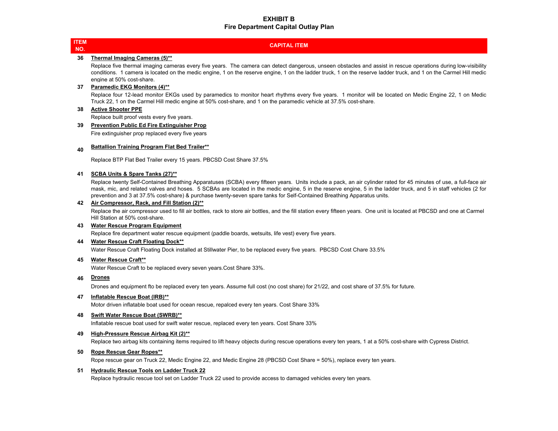|  | $\mathcal{L}^{\text{max}}_{\text{max}}$ and $\mathcal{L}^{\text{max}}_{\text{max}}$ and $\mathcal{L}^{\text{max}}_{\text{max}}$ and $\mathcal{L}^{\text{max}}_{\text{max}}$ |  |
|--|-----------------------------------------------------------------------------------------------------------------------------------------------------------------------------|--|
|  | <b>Service Service</b>                                                                                                                                                      |  |

#### **CAPITAL ITEM**

#### **36 Thermal Imaging Cameras (5)\*\***

Replace five thermal imaging cameras every five years. The camera can detect dangerous, unseen obstacles and assist in rescue operations during low-visibility conditions. 1 camera is located on the medic engine, 1 on the reserve engine, 1 on the ladder truck, 1 on the reserve ladder truck, and 1 on the Carmel Hill medic engine at 50% cost-share.

#### **37 Paramedic EKG Monitors (4)\*\***

Replace four 12-lead monitor EKGs used by paramedics to monitor heart rhythms every five years. 1 monitor will be located on Medic Engine 22, 1 on Medic Truck 22, 1 on the Carmel Hill medic engine at 50% cost-share, and 1 on the paramedic vehicle at 37.5% cost-share.

#### **38 Active Shooter PPE**

Replace built proof vests every five years.

#### **39 Prevention Public Ed Fire Extinguisher Prop**

Fire extinguisher prop replaced every five years

#### **40Battallion Training Program Flat Bed Trailer\*\***

Replace BTP Flat Bed Trailer every 15 years. PBCSD Cost Share 37.5%

#### **41 SCBA Units & Spare Tanks (27)\*\***

Replace twenty Self-Contained Breathing Apparatuses (SCBA) every fifteen years. Units include <sup>a</sup> pack, an air cylinder rated for 45 minutes of use, <sup>a</sup> full-face air mask, mic, and related valves and hoses. 5 SCBAs are located in the medic engine, 5 in the reserve engine, 5 in the ladder truck, and 5 in staff vehicles (2 for prevention and 3 at 37.5% cost-share) & purchase twenty-seven spare tanks for Self-Contained Breathing Apparatus units.

#### **42 Air Compressor, Rack, and Fill Station (2)\*\***

Replace the air compressor used to fill air bottles, rack to store air bottles, and the fill station every fifteen years. One unit is located at PBCSD and one at Carmel Hill Station at 50% cost-share.

#### **43 Water Rescue Program Equipment**

Replace fire department water rescue equipment (paddle boards, wetsuits, life vest) every five years.

#### **44 Water Rescue Craft Floating Dock\*\***

Water Rescue Craft Floating Dock installed at Stillwater Pier, to be replaced every five years. PBCSD Cost Chare 33.5%

#### **45 Water Rescue Craft\*\***

Water Rescue Craft to be replaced every seven years.Cost Share 33%.

#### **46Drones**

Drones and equipment fto be replaced every ten years. Assume full cost (no cost share) for 21/22, and cost share of 37.5% for future.

#### **47 Inflatable Rescue Boat (IRB)\*\***

Motor driven inflatable boat used for ocean rescue, repalced every ten years. Cost Share 33%

#### **48 Swift Water Rescue Boat (SWRB)\*\***

Inflatable rescue boat used for swift water rescue, replaced every ten years. Cost Share 33%

#### **49 High-Pressure Rescue Airbag Kit (2)\*\***

Replace two airbag kits containing items required to lift heavy objects during rescue operations every ten years, 1 at a 50% cost-share with Cypress District.

#### **50 Rope Rescue Gear Ropes\*\***

Rope rescue gear on Truck 22, Medic Engine 22, and Medic Engine 28 (PBCSD Cost Share = 50%), replace every ten years.

#### **51 Hydraulic Rescue Tools on Ladder Truck 22**

Replace hydraulic rescue tool set on Ladder Truck 22 used to provide access to damaged vehicles every ten years.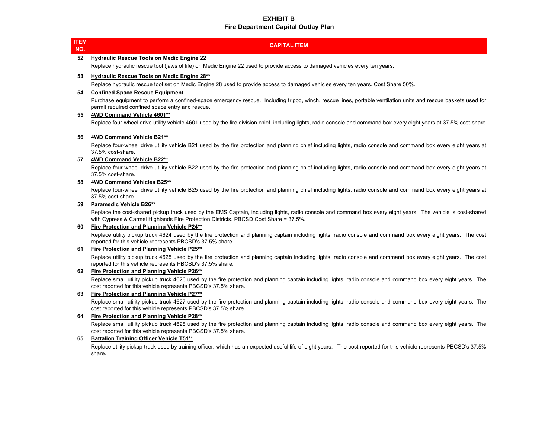| IEM<br>NO. | <b>CAPITAL ITEM</b>                                                                                                                                                                                                                                 |
|------------|-----------------------------------------------------------------------------------------------------------------------------------------------------------------------------------------------------------------------------------------------------|
| 52         | <b>Hydraulic Rescue Tools on Medic Engine 22</b>                                                                                                                                                                                                    |
|            | Replace hydraulic rescue tool (jaws of life) on Medic Engine 22 used to provide access to damaged vehicles every ten years.                                                                                                                         |
| 53         | <b>Hydraulic Rescue Tools on Medic Engine 28**</b>                                                                                                                                                                                                  |
|            | Replace hydraulic rescue tool set on Medic Engine 28 used to provide access to damaged vehicles every ten years. Cost Share 50%.                                                                                                                    |
| 54         | <b>Confined Space Rescue Equipment</b>                                                                                                                                                                                                              |
|            | Purchase equipment to perform a confined-space emergency rescue. Including tripod, winch, rescue lines, portable ventilation units and rescue baskets used for<br>permit required confined space entry and rescue.                                  |
| 55         | 4WD Command Vehicle 4601**                                                                                                                                                                                                                          |
|            | Replace four-wheel drive utility vehicle 4601 used by the fire division chief, including lights, radio console and command box every eight years at 37.5% cost-share                                                                                |
| 56         | 4WD Command Vehicle B21**                                                                                                                                                                                                                           |
|            | Replace four-wheel drive utility vehicle B21 used by the fire protection and planning chief including lights, radio console and command box every eight years at<br>37.5% cost-share.                                                               |
| 57         | 4WD Command Vehicle B22**                                                                                                                                                                                                                           |
|            | Replace four-wheel drive utility vehicle B22 used by the fire protection and planning chief including lights, radio console and command box every eight years at<br>37.5% cost-share.                                                               |
| 58         | 4WD Command Vehicles B25**                                                                                                                                                                                                                          |
|            | Replace four-wheel drive utility vehicle B25 used by the fire protection and planning chief including lights, radio console and command box every eight years at<br>37.5% cost-share.                                                               |
| 59         | <b>Paramedic Vehicle B26**</b>                                                                                                                                                                                                                      |
|            | Replace the cost-shared pickup truck used by the EMS Captain, including lights, radio console and command box every eight years. The vehicle is cost-shared<br>with Cypress & Carmel Highlands Fire Protection Districts. PBCSD Cost Share = 37.5%. |
| en i       | Fise Destanting and Diagning Vahiale DO4**                                                                                                                                                                                                          |

**60 Fire Protection and Planning Vehicle P24\*\***

Replace utility pickup truck 4624 used by the fire protection and planning captain including lights, radio console and command box every eight years. The cost reported for this vehicle represents PBCSD's 37.5% share.

#### **61 Fire Protection and Planning Vehicle P25\*\***

**ITEM NO.**

> Replace utility pickup truck 4625 used by the fire protection and planning captain including lights, radio console and command box every eight years. The cost reported for this vehicle represents PBCSD's 37.5% share.

#### **62 Fire Protection and Planning Vehicle P26\*\***

Replace small utility pickup truck 4626 used by the fire protection and planning captain including lights, radio console and command box every eight years. The cost reported for this vehicle represents PBCSD's 37.5% share.

#### **63 Fire Protection and Planning Vehicle P27\*\***

Replace small utility pickup truck 4627 used by the fire protection and planning captain including lights, radio console and command box every eight years. The cost reported for this vehicle represents PBCSD's 37.5% share.

#### **64 Fire Protection and Planning Vehicle P28\*\***

Replace small utility pickup truck 4628 used by the fire protection and planning captain including lights, radio console and command box every eight years. The cost reported for this vehicle represents PBCSD's 37.5% share.

#### **65 Battalion Training Officer Vehicle T51\*\***

Replace utility pickup truck used by training officer, which has an expected useful life of eight years. The cost reported for this vehicle represents PBCSD's 37.5% share.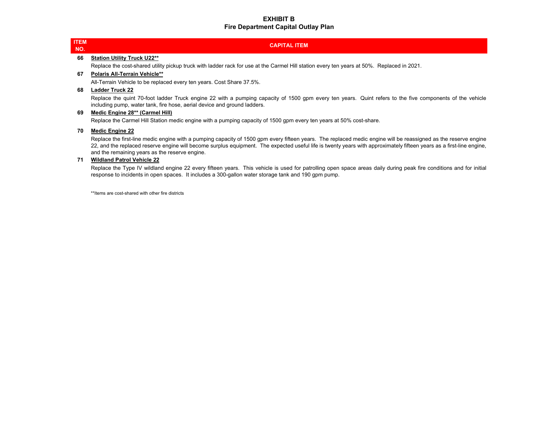|  | $\mathcal{L}^{\text{max}}_{\text{max}}$ and $\mathcal{L}^{\text{max}}_{\text{max}}$ and $\mathcal{L}^{\text{max}}_{\text{max}}$ and $\mathcal{L}^{\text{max}}_{\text{max}}$ |  |
|--|-----------------------------------------------------------------------------------------------------------------------------------------------------------------------------|--|
|  | <b>Service Service</b>                                                                                                                                                      |  |

#### **CAPITAL ITEM**

#### **66 Station Utility Truck U22\*\***

Replace the cost-shared utility pickup truck with ladder rack for use at the Carmel Hill station every ten years at 50%. Replaced in 2021.

#### **67 Polaris All-Terrain Vehicle\*\***

All-Terrain Vehicle to be replaced every ten years. Cost Share 37.5%.

#### **68 Ladder Truck 22**

Replace the quint 70-foot ladder Truck engine 22 with <sup>a</sup> pumping capacity of 1500 gpm every ten years. Quint refers to the five components of the vehicle including pump, water tank, fire hose, aerial device and ground ladders.

#### **69 Medic Engine 28\*\* (Carmel Hill)**

Replace the Carmel Hill Station medic engine with a pumping capacity of 1500 gpm every ten years at 50% cost-share.

#### **70 Medic Engine 22**

Replace the first-line medic engine with <sup>a</sup> pumping capacity of 1500 gpm every fifteen years. The replaced medic engine will be reassigned as the reserve engine 22, and the replaced reserve engine will become surplus equipment. The expected useful life is twenty years with approximately fifteen years as <sup>a</sup> first-line engine, and the remaining years as the reserve engine.

#### **71 Wildland Patrol Vehicle 22**

Replace the Type IV wildland engine 22 every fifteen years. This vehicle is used for patrolling open space areas daily during peak fire conditions and for initial response to incidents in open spaces. It includes a 300-gallon water storage tank and 190 gpm pump.

\*\*Items are cost-shared with other fire districts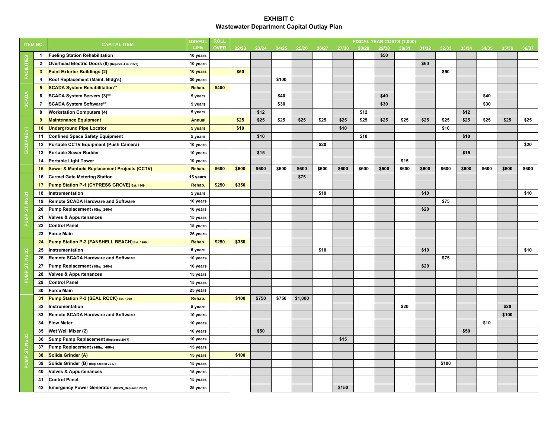| <b>ITEM NO.</b>   |                | <b>CAPITAL ITEM</b>                              | <b>USEFUL</b> | <b>ROLL</b> |       |       |       |         |       |       |       |       | FISCAL YEAR COSTS (1,000) |       |       |       |       |       |       |
|-------------------|----------------|--------------------------------------------------|---------------|-------------|-------|-------|-------|---------|-------|-------|-------|-------|---------------------------|-------|-------|-------|-------|-------|-------|
|                   |                |                                                  | <b>LIFE</b>   | <b>OVER</b> | 22/23 | 23/24 | 24/25 | 25/26   | 26/27 | 27/28 | 28/29 | 29/30 | 30/31                     | 31/32 | 32/33 | 33/34 | 34/35 | 35/36 | 36/37 |
|                   | $\mathbf{1}$   | <b>Fueling Station Rehabilitation</b>            | 10 years      |             |       |       |       |         |       |       |       | \$50  |                           |       |       |       |       |       |       |
| <b>FACILITIES</b> | $\overline{2}$ | Overhead Electric Doors (8) (Replace 4 in 21/22) | 10 years      |             |       |       |       |         |       |       |       |       |                           | \$60  |       |       |       |       |       |
|                   | $\mathbf{3}$   | <b>Paint Exterior Buildings (2)</b>              | 10 years      |             | \$50  |       |       |         |       |       |       |       |                           |       | \$50  |       |       |       |       |
|                   | 4              | Roof Replacement (Maint. Bldg's)                 | 30 years      |             |       |       | \$100 |         |       |       |       |       |                           |       |       |       |       |       |       |
|                   | 5              | <b>SCADA System Rehabilitation**</b>             | Rehab.        | \$400       |       |       |       |         |       |       |       |       |                           |       |       |       |       |       |       |
|                   | 6              | SCADA System Servers (3)**                       | 5 years       |             |       |       | \$40  |         |       |       |       | \$40  |                           |       |       |       | \$40  |       |       |
| <b>SCADA</b>      | $\overline{7}$ | SCADA System Software**                          | 5 years       |             |       |       | \$30  |         |       |       |       | \$30  |                           |       |       |       | \$30  |       |       |
|                   | 8              | <b>Workstation Computers (4)</b>                 | 5 years       |             |       | \$12  |       |         |       |       | \$12  |       |                           |       |       | \$12  |       |       |       |
|                   | 9              | <b>Maintenance Equipment</b>                     | <b>Annual</b> |             | \$25  | \$25  | \$25  | \$25    | \$25  | \$25  | \$25  | \$25  | \$25                      | \$25  | \$25  | \$25  | \$25  | \$25  | \$25  |
|                   | 10             | <b>Underground Pipe Locator</b>                  | 5 years       |             | \$10  |       |       |         |       | \$10  |       |       |                           |       | \$10  |       |       |       |       |
| EQUIPMENT         | 11             | <b>Confined Space Safety Equipment</b>           | 5 years       |             |       | \$10  |       |         |       |       | \$10  |       |                           |       |       | \$10  |       |       |       |
|                   | 12             | Portable CCTV Equipment (Push Camera)            | 10 years      |             |       |       |       |         | \$20  |       |       |       |                           |       |       |       |       |       | \$20  |
|                   | 13             | <b>Portable Sewer Rodder</b>                     | 10 years      |             |       | \$15  |       |         |       |       |       |       |                           |       |       | \$15  |       |       |       |
|                   | 14             | <b>Portable Light Tower</b>                      | 10 years      |             |       |       |       |         |       |       |       |       | \$15                      |       |       |       |       |       |       |
|                   | 15             | Sewer & Manhole Replacement Projects (CCTV)      | Rehab.        | \$600       | \$600 | \$600 | \$600 | \$600   | \$600 | \$600 | \$600 | \$600 | \$600                     | \$600 | \$600 | \$600 | \$600 | \$600 | \$600 |
|                   | 16             | <b>Carmel Gate Metering Station</b>              | 15 years      |             |       |       |       | \$75    |       |       |       |       |                           |       |       |       |       |       |       |
|                   | 17             | Pump Station P-1 (CYPRESS GROVE) Est. 1969       | Rehab.        | \$250       | \$350 |       |       |         |       |       |       |       |                           |       |       |       |       |       |       |
|                   | 18             | Instrumentation                                  | 5 years       |             |       |       |       |         | \$10  |       |       |       |                           | \$10  |       |       |       |       | \$10  |
|                   | 19             | <b>Remote SCADA Hardware and Software</b>        | 10 years      |             |       |       |       |         |       |       |       |       |                           |       | \$75  |       |       |       |       |
| PUMP ST. No.01    | 20             | Pump Replacement (10hp_240v)                     | 10 years      |             |       |       |       |         |       |       |       |       |                           | \$20  |       |       |       |       |       |
|                   | 21             | <b>Valves &amp; Appurtenances</b>                | 15 years      |             |       |       |       |         |       |       |       |       |                           |       |       |       |       |       |       |
|                   | 22             | <b>Control Panel</b>                             | 15 years      |             |       |       |       |         |       |       |       |       |                           |       |       |       |       |       |       |
|                   | 23             | <b>Force Main</b>                                | 25 years      |             |       |       |       |         |       |       |       |       |                           |       |       |       |       |       |       |
|                   | 24             | Pump Station P-2 (FANSHELL BEACH) Est. 1969      | Rehab.        | \$250       | \$350 |       |       |         |       |       |       |       |                           |       |       |       |       |       |       |
|                   | 25             | Instrumentation                                  | 5 years       |             |       |       |       |         | \$10  |       |       |       |                           | \$10  |       |       |       |       | \$10  |
| PUMP ST. No.02    | 26             | <b>Remote SCADA Hardware and Software</b>        | 10 years      |             |       |       |       |         |       |       |       |       |                           |       | \$75  |       |       |       |       |
|                   | 27             | Pump Replacement (10hp_240v)                     | 10 years      |             |       |       |       |         |       |       |       |       |                           | \$20  |       |       |       |       |       |
|                   | 28             | <b>Valves &amp; Appurtenances</b>                | 15 years      |             |       |       |       |         |       |       |       |       |                           |       |       |       |       |       |       |
|                   | 29             | <b>Control Panel</b>                             | 15 years      |             |       |       |       |         |       |       |       |       |                           |       |       |       |       |       |       |
|                   | 30             | <b>Force Main</b>                                | 25 years      |             |       |       |       |         |       |       |       |       |                           |       |       |       |       |       |       |
|                   | 31             | Pump Station P-3 (SEAL ROCK) Est. 1990           | Rehab.        |             | \$100 | \$750 | \$750 | \$1,000 |       |       |       |       |                           |       |       |       |       |       |       |
|                   | 32             | Instrumentation                                  | 5 years       |             |       |       |       |         |       |       |       |       | \$20                      |       |       |       |       | \$20  |       |
|                   | 33             | <b>Remote SCADA Hardware and Software</b>        | 10 years      |             |       |       |       |         |       |       |       |       |                           |       |       |       |       | \$100 |       |
|                   | 34             | <b>Flow Meter</b>                                | 10 years      |             |       |       |       |         |       |       |       |       |                           |       |       |       | \$10  |       |       |
|                   | 35             | Wet Well Mixer (2)                               | 10 years      |             |       | \$50  |       |         |       |       |       |       |                           |       |       | \$50  |       |       |       |
|                   | 36             | Sump Pump Replacement (Replaced 2017)            | 10 years      |             |       |       |       |         |       | \$15  |       |       |                           |       |       |       |       |       |       |
| PUMP ST. No.03    | 37             | Pump Replacement (140hp_480v)                    | 15 years      |             |       |       |       |         |       |       |       |       |                           |       |       |       |       |       |       |
|                   | 38             | Solids Grinder (A)                               | 15 years      |             | \$100 |       |       |         |       |       |       |       |                           |       |       |       |       |       |       |
|                   | 39             | Solids Grinder (B) (Replaced in 2017)            | 15 years      |             |       |       |       |         |       |       |       |       |                           |       | \$100 |       |       |       |       |
|                   | 40             | <b>Valves &amp; Appurtenances</b>                | 15 years      |             |       |       |       |         |       |       |       |       |                           |       |       |       |       |       |       |
|                   | 41             | <b>Control Panel</b>                             | 15 years      |             |       |       |       |         |       |       |       |       |                           |       |       |       |       |       |       |
|                   | 42             | Emergency Power Generator (400kW_Replaced 2002)  | 25 years      |             |       |       |       |         |       | \$150 |       |       |                           |       |       |       |       |       |       |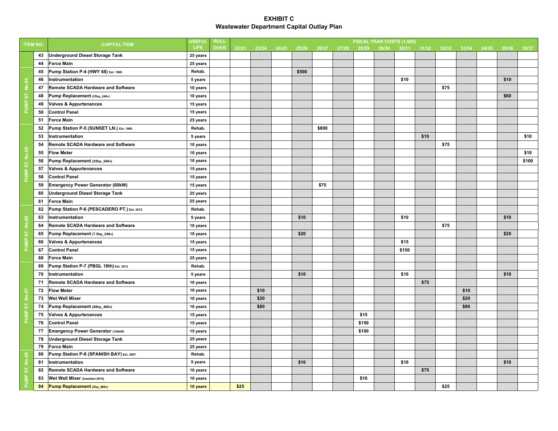| <b>ITEM NO.</b> |    | <b>CAPITAL ITEM</b>                        | <b>USEFUI</b> | <b>ROLI</b> |       |       |       |       |       |       |       | FISCAL YEAR COSTS (1,000) |       |       |       |       |       |       |       |
|-----------------|----|--------------------------------------------|---------------|-------------|-------|-------|-------|-------|-------|-------|-------|---------------------------|-------|-------|-------|-------|-------|-------|-------|
|                 |    |                                            | LIFE          | <b>OVER</b> | 22/23 | 23/24 | 24/25 | 25/26 | 26/27 | 27/28 | 28/29 | 29/30                     | 30/31 | 31/32 | 32/33 | 33/34 | 34/35 | 35/36 | 36/37 |
|                 | 43 | <b>Underground Diesel Storage Tank</b>     | 25 years      |             |       |       |       |       |       |       |       |                           |       |       |       |       |       |       |       |
|                 | 44 | <b>Force Main</b>                          | 25 years      |             |       |       |       |       |       |       |       |                           |       |       |       |       |       |       |       |
|                 | 45 | Pump Station P-4 (HWY 68) Est. 1969        | Rehab.        |             |       |       |       | \$500 |       |       |       |                           |       |       |       |       |       |       |       |
|                 | 46 | Instrumentation                            | 5 years       |             |       |       |       |       |       |       |       |                           | \$10  |       |       |       |       | \$10  |       |
|                 | 47 | <b>Remote SCADA Hardware and Software</b>  | 10 years      |             |       |       |       |       |       |       |       |                           |       |       | \$75  |       |       |       |       |
|                 | 48 | Pump Replacement (25hp_240v)               | 10 years      |             |       |       |       |       |       |       |       |                           |       |       |       |       |       | \$60  |       |
| PUMP ST. No.04  | 49 | <b>Valves &amp; Appurtenances</b>          | 15 years      |             |       |       |       |       |       |       |       |                           |       |       |       |       |       |       |       |
|                 | 50 | <b>Control Panel</b>                       | 15 years      |             |       |       |       |       |       |       |       |                           |       |       |       |       |       |       |       |
|                 | 51 | <b>Force Main</b>                          | 25 years      |             |       |       |       |       |       |       |       |                           |       |       |       |       |       |       |       |
|                 | 52 | Pump Station P-5 (SUNSET LN.) Est. 1969    | Rehab.        |             |       |       |       |       | \$800 |       |       |                           |       |       |       |       |       |       |       |
|                 | 53 | Instrumentation                            | 5 years       |             |       |       |       |       |       |       |       |                           |       | \$10  |       |       |       |       | \$10  |
|                 | 54 | Remote SCADA Hardware and Software         | 10 years      |             |       |       |       |       |       |       |       |                           |       |       | \$75  |       |       |       |       |
|                 | 55 | <b>Flow Meter</b>                          | 10 years      |             |       |       |       |       |       |       |       |                           |       |       |       |       |       |       | \$10  |
|                 | 56 | Pump Replacement (25hp_240v)               | 10 years      |             |       |       |       |       |       |       |       |                           |       |       |       |       |       |       | \$100 |
| PUMP ST. No.05  | 57 | <b>Valves &amp; Appurtenances</b>          | 15 years      |             |       |       |       |       |       |       |       |                           |       |       |       |       |       |       |       |
|                 | 58 | <b>Control Panel</b>                       | 15 years      |             |       |       |       |       |       |       |       |                           |       |       |       |       |       |       |       |
|                 | 59 | <b>Emergency Power Generator (60kW)</b>    | 15 years      |             |       |       |       |       | \$75  |       |       |                           |       |       |       |       |       |       |       |
|                 | 60 | <b>Underground Diesel Storage Tank</b>     | 25 years      |             |       |       |       |       |       |       |       |                           |       |       |       |       |       |       |       |
|                 | 61 | <b>Force Main</b>                          | 25 years      |             |       |       |       |       |       |       |       |                           |       |       |       |       |       |       |       |
|                 | 62 | Pump Station P-6 (PESCADERO PT.) Est. 2015 | Rehab.        |             |       |       |       |       |       |       |       |                           |       |       |       |       |       |       |       |
|                 | 63 | Instrumentation                            | 5 years       |             |       |       |       | \$10  |       |       |       |                           | \$10  |       |       |       |       | \$10  |       |
|                 | 64 | <b>Remote SCADA Hardware and Software</b>  | 10 years      |             |       |       |       |       |       |       |       |                           |       |       | \$75  |       |       |       |       |
| PUMP ST. No.06  | 65 | Pump Replacement (7.5hp_240v)              | 10 years      |             |       |       |       | \$20  |       |       |       |                           |       |       |       |       |       | \$20  |       |
|                 | 66 | <b>Valves &amp; Appurtenances</b>          | 15 years      |             |       |       |       |       |       |       |       |                           | \$15  |       |       |       |       |       |       |
|                 | 67 | <b>Control Panel</b>                       | 15 years      |             |       |       |       |       |       |       |       |                           | \$150 |       |       |       |       |       |       |
|                 | 68 | <b>Force Main</b>                          | 25 years      |             |       |       |       |       |       |       |       |                           |       |       |       |       |       |       |       |
|                 | 69 | Pump Station P-7 (PBGL 18th) Est. 2012     | Rehab.        |             |       |       |       |       |       |       |       |                           |       |       |       |       |       |       |       |
|                 | 70 | Instrumentation                            | 5 years       |             |       |       |       | \$10  |       |       |       |                           | \$10  |       |       |       |       | \$10  |       |
|                 | 71 | Remote SCADA Hardware and Software         | 10 years      |             |       |       |       |       |       |       |       |                           |       | \$75  |       |       |       |       |       |
|                 | 72 | <b>Flow Meter</b>                          | 10 years      |             |       | \$10  |       |       |       |       |       |                           |       |       |       | \$10  |       |       |       |
| PUMP ST. No.07  | 73 | <b>Wet Well Mixer</b>                      | 10 years      |             |       | \$20  |       |       |       |       |       |                           |       |       |       | \$20  |       |       |       |
|                 | 74 | Pump Replacement (60hp_480v)               | 10 years      |             |       | \$80  |       |       |       |       |       |                           |       |       |       | \$80  |       |       |       |
|                 | 75 | <b>Valves &amp; Appurtenances</b>          | 15 years      |             |       |       |       |       |       |       | \$15  |                           |       |       |       |       |       |       |       |
|                 | 76 | <b>Control Panel</b>                       | 15 years      |             |       |       |       |       |       |       | \$150 |                           |       |       |       |       |       |       |       |
|                 | 77 | Emergency Power Generator (150kW)          | 15 years      |             |       |       |       |       |       |       | \$100 |                           |       |       |       |       |       |       |       |
|                 | 78 | <b>Underground Diesel Storage Tank</b>     | 25 years      |             |       |       |       |       |       |       |       |                           |       |       |       |       |       |       |       |
|                 | 79 | <b>Force Main</b>                          | 25 years      |             |       |       |       |       |       |       |       |                           |       |       |       |       |       |       |       |
|                 | 80 | Pump Station P-8 (SPANISH BAY) Est. 2007   | Rehab.        |             |       |       |       |       |       |       |       |                           |       |       |       |       |       |       |       |
|                 | 81 | Instrumentation                            | 5 years       |             |       |       |       | \$10  |       |       |       |                           | \$10  |       |       |       |       | \$10  |       |
|                 | 82 | <b>Remote SCADA Hardware and Software</b>  | 10 years      |             |       |       |       |       |       |       |       |                           |       | \$75  |       |       |       |       |       |
| PUMP ST. No.08  | 83 | Wet Well Mixer (Installed 2019)            | 10 years      |             |       |       |       |       |       |       | \$10  |                           |       |       |       |       |       |       |       |
|                 | 84 | Pump Replacement (5hp_480v)                | 10 years      |             | \$25  |       |       |       |       |       |       |                           |       |       | \$25  |       |       |       |       |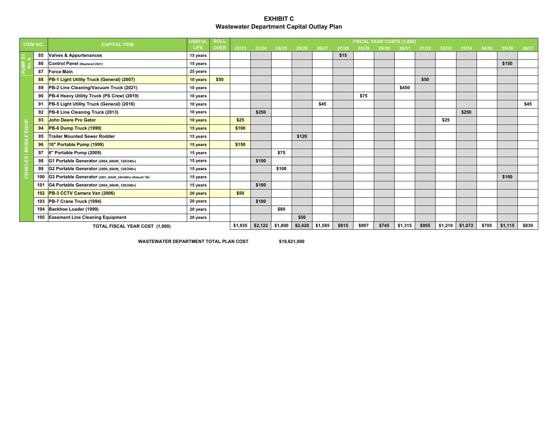| <b>ITEM NO.</b> |     | <b>CAPITAL ITEM</b>                                      | <b>USEFUL</b> | <b>ROLL</b> |         |         |         |       |       |       |         |       | FISCAL YEAR COSTS (1,000) |         |       |         |       |       |       |
|-----------------|-----|----------------------------------------------------------|---------------|-------------|---------|---------|---------|-------|-------|-------|---------|-------|---------------------------|---------|-------|---------|-------|-------|-------|
|                 |     |                                                          | <b>LIFE</b>   | <b>OVER</b> | 22/23   | 23/24   | 24/25   | 25/26 | 26/27 | 27/28 | 28/29   | 29/30 | 30/31                     | 31/32   | 32/33 | 33/34   | 34/35 | 35/36 | 36/37 |
| ᠊ᇮ              | 85  | <b>Valves &amp; Appurtenances</b>                        | 15 years      |             |         |         |         |       |       | \$15  |         |       |                           |         |       |         |       |       |       |
| 은               | 86  | Control Panel (Replaced 2021)                            | 15 years      |             |         |         |         |       |       |       |         |       |                           |         |       |         |       | \$150 |       |
| 문               | 87  | <b>Force Main</b>                                        | 25 years      |             |         |         |         |       |       |       |         |       |                           |         |       |         |       |       |       |
|                 | 88  | PB-1 Light Utility Truck (General) (2007)                | 10 years      | \$50        |         |         |         |       |       |       |         |       |                           | \$50    |       |         |       |       |       |
|                 | 89  | PB-2 Line Cleaning/Vacuum Truck (2021)                   | 10 years      |             |         |         |         |       |       |       |         |       | \$450                     |         |       |         |       |       |       |
|                 | 90  | PB-4 Heavy Utility Truck (PS Crew) (2019)                | 10 years      |             |         |         |         |       |       |       | \$75    |       |                           |         |       |         |       |       |       |
|                 | 91  | PB-5 Light Utility Truck (General) (2016)                | 10 years      |             |         |         |         |       | \$45  |       |         |       |                           |         |       |         |       |       | \$45  |
|                 | 92  | PB-8 Line Cleaning Truck (2013)                          | 10 years      |             |         | \$250   |         |       |       |       |         |       |                           |         |       | \$250   |       |       |       |
|                 | 93  | <b>John Deere Pro Gator</b>                              | 10 years      |             | \$25    |         |         |       |       |       |         |       |                           |         | \$25  |         |       |       |       |
| EQUIP.          | 94  | PB-6 Dump Truck (1999)                                   | 15 years      |             | \$100   |         |         |       |       |       |         |       |                           |         |       |         |       |       |       |
|                 | 95  | <b>Trailer Mounted Sewer Rodder</b>                      | 15 years      |             |         |         |         | \$120 |       |       |         |       |                           |         |       |         |       |       |       |
| / MOBILE        | 96  | 10" Portable Pump (1999)                                 | 15 years      |             | \$150   |         |         |       |       |       |         |       |                           |         |       |         |       |       |       |
|                 | 97  | 6" Portable Pump (2009)                                  | 15 years      |             |         |         | \$75    |       |       |       |         |       |                           |         |       |         |       |       |       |
|                 | 98  | G1 Portable Generator (2004_60kW_120/240v)               | 15 years      |             |         | \$100   |         |       |       |       |         |       |                           |         |       |         |       |       |       |
| <b>VEHICLES</b> | 99  | G2 Portable Generator (2006_60kW_120/240v)               | 15 years      |             |         |         | \$100   |       |       |       |         |       |                           |         |       |         |       |       |       |
|                 | 100 | G3 Portable Generator (2001_60kW_240/480v) (Rebuilt '20) | 15 years      |             |         |         |         |       |       |       |         |       |                           |         |       |         |       | \$100 |       |
|                 | 101 | G4 Portable Generator (2004_60kW_120/240v)               | 15 years      |             |         | \$100   |         |       |       |       |         |       |                           |         |       |         |       |       |       |
|                 | 102 | PB-3 CCTV Camera Van (2006)                              | 20 years      |             | \$50    |         |         |       |       |       |         |       |                           |         |       |         |       |       |       |
|                 | 103 | PB-7 Crane Truck (1994)                                  | 20 years      |             |         | \$100   |         |       |       |       |         |       |                           |         |       |         |       |       |       |
|                 | 104 | Backhoe Loader (1999)                                    | 20 years      |             |         |         | \$80    |       |       |       |         |       |                           |         |       |         |       |       |       |
|                 |     | 105 Easement Line Cleaning Equipment                     | 20 years      |             |         |         |         | \$50  |       |       |         |       |                           |         |       |         |       |       |       |
|                 |     | TOTAL FISCAL YEAR COST (1,000)                           | \$1,935       | \$2,122     | \$1,800 | \$2,420 | \$1,585 | \$815 | \$997 | \$745 | \$1,315 | \$955 | \$1,210                   | \$1,072 | \$705 | \$1,115 | \$830 |       |       |

WASTEWATER DEPARTMENT TOTAL PLAN COST \$19,621,000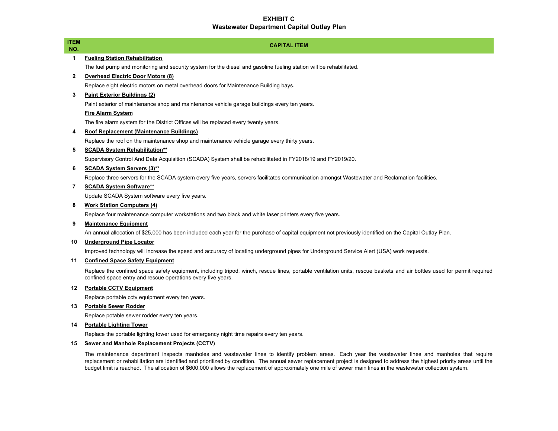| <b>ITEM</b><br>NO. | <b>CAPITAL ITEM</b>                                                                                                                                                                                                                     |
|--------------------|-----------------------------------------------------------------------------------------------------------------------------------------------------------------------------------------------------------------------------------------|
| 1                  | <b>Fueling Station Rehabilitation</b>                                                                                                                                                                                                   |
|                    | The fuel pump and monitoring and security system for the diesel and gasoline fueling station will be rehabilitated.                                                                                                                     |
| $\mathbf{2}$       | <b>Overhead Electric Door Motors (8)</b>                                                                                                                                                                                                |
|                    | Replace eight electric motors on metal overhead doors for Maintenance Building bays.                                                                                                                                                    |
| 3                  | <b>Paint Exterior Buildings (2)</b>                                                                                                                                                                                                     |
|                    | Paint exterior of maintenance shop and maintenance vehicle garage buildings every ten years.                                                                                                                                            |
|                    | <b>Fire Alarm System</b>                                                                                                                                                                                                                |
|                    | The fire alarm system for the District Offices will be replaced every twenty years.                                                                                                                                                     |
| 4                  | Roof Replacement (Maintenance Buildings)                                                                                                                                                                                                |
|                    | Replace the roof on the maintenance shop and maintenance vehicle garage every thirty years.                                                                                                                                             |
| 5                  | <b>SCADA System Rehabilitation**</b>                                                                                                                                                                                                    |
|                    | Supervisory Control And Data Acquisition (SCADA) System shall be rehabilitated in FY2018/19 and FY2019/20.                                                                                                                              |
| 6                  | <b>SCADA System Servers (3)**</b>                                                                                                                                                                                                       |
|                    | Replace three servers for the SCADA system every five years, servers facilitates communication amongst Wastewater and Reclamation facilities.                                                                                           |
| 7                  | <b>SCADA System Software**</b>                                                                                                                                                                                                          |
|                    | Update SCADA System software every five years.                                                                                                                                                                                          |
| 8                  | <b>Work Station Computers (4)</b>                                                                                                                                                                                                       |
|                    | Replace four maintenance computer workstations and two black and white laser printers every five years.                                                                                                                                 |
| 9                  | <b>Maintenance Equipment</b>                                                                                                                                                                                                            |
|                    | An annual allocation of \$25,000 has been included each year for the purchase of capital equipment not previously identified on the Capital Outlay Plan.                                                                                |
| 10                 | <b>Underground Pipe Locator</b>                                                                                                                                                                                                         |
|                    | Improved technology will increase the speed and accuracy of locating underground pipes for Underground Service Alert (USA) work requests.                                                                                               |
| 11                 | <b>Confined Space Safety Equipment</b>                                                                                                                                                                                                  |
|                    | Replace the confined space safety equipment, including tripod, winch, rescue lines, portable ventilation units, rescue baskets and air bottles used for permit required<br>confined space entry and rescue operations every five years. |
| 12                 | <b>Portable CCTV Equipment</b>                                                                                                                                                                                                          |
|                    | Replace portable cctv equipment every ten years.                                                                                                                                                                                        |
| 13                 | <b>Portable Sewer Rodder</b>                                                                                                                                                                                                            |
|                    | Replace potable sewer rodder every ten years.                                                                                                                                                                                           |
| 14                 | <b>Portable Lighting Tower</b>                                                                                                                                                                                                          |
|                    | Replace the portable lighting tower used for emergency night time repairs every ten years.                                                                                                                                              |

#### **15 Sewer and Manhole Replacement Projects (CCTV)**

The maintenance department inspects manholes and wastewater lines to identify problem areas. Each year the wastewater lines and manholes that require replacement or rehabilitation are identified and prioritized by condition. The annual sewer replacement project is designed to address the highest priority areas until the budget limit is reached. The allocation of \$600,000 allows the replacement of approximately one mile of sewer main lines in the wastewater collection system.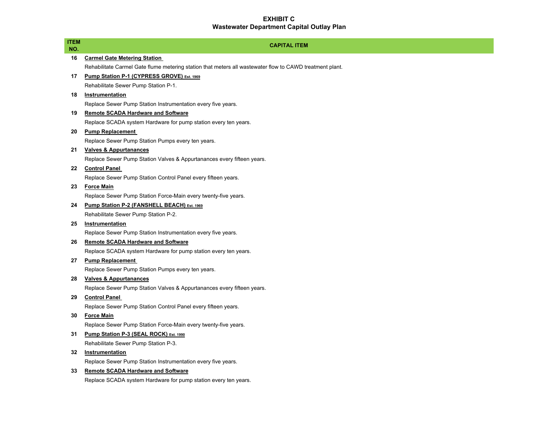Г

| ITEM<br>NO. | <b>CAPITAL ITEM</b>                                                                                      |
|-------------|----------------------------------------------------------------------------------------------------------|
| 16          | <b>Carmel Gate Metering Station</b>                                                                      |
|             | Rehabilitate Carmel Gate flume metering station that meters all wastewater flow to CAWD treatment plant. |
| 17          | Pump Station P-1 (CYPRESS GROVE) Est. 1969                                                               |
|             | Rehabilitate Sewer Pump Station P-1.                                                                     |
| 18          | Instrumentation                                                                                          |
|             | Replace Sewer Pump Station Instrumentation every five years.                                             |
| 19          | <b>Remote SCADA Hardware and Software</b>                                                                |
|             | Replace SCADA system Hardware for pump station every ten years.                                          |
| 20          | <b>Pump Replacement</b>                                                                                  |
|             | Replace Sewer Pump Station Pumps every ten years.                                                        |
| 21          | <b>Valves &amp; Appurtanances</b>                                                                        |
|             | Replace Sewer Pump Station Valves & Appurtanances every fifteen years.                                   |
| 22          | <b>Control Panel</b>                                                                                     |
|             | Replace Sewer Pump Station Control Panel every fifteen years.                                            |
| 23          | <b>Force Main</b>                                                                                        |
|             | Replace Sewer Pump Station Force-Main every twenty-five years.                                           |
| 24          | Pump Station P-2 (FANSHELL BEACH) Est. 1969                                                              |
|             | Rehabilitate Sewer Pump Station P-2.                                                                     |
| 25          | Instrumentation                                                                                          |
|             | Replace Sewer Pump Station Instrumentation every five years.                                             |
| 26          | <b>Remote SCADA Hardware and Software</b>                                                                |
|             | Replace SCADA system Hardware for pump station every ten years.                                          |
| 27          | <b>Pump Replacement</b>                                                                                  |
|             | Replace Sewer Pump Station Pumps every ten years.                                                        |
| 28          | <b>Valves &amp; Appurtanances</b>                                                                        |
|             | Replace Sewer Pump Station Valves & Appurtanances every fifteen years.                                   |
| 29          | <b>Control Panel</b>                                                                                     |
|             | Replace Sewer Pump Station Control Panel every fifteen years.                                            |
| 30          | <b>Force Main</b>                                                                                        |
|             | Replace Sewer Pump Station Force-Main every twenty-five years.                                           |
| 31.         | Pump Station P-3 (SEAL ROCK) Est. 1990                                                                   |
|             | Rehabilitate Sewer Pump Station P-3.                                                                     |
| 32          | <b>Instrumentation</b>                                                                                   |
|             | Replace Sewer Pump Station Instrumentation every five years.                                             |
| 33          | <b>Remote SCADA Hardware and Software</b>                                                                |
|             | Replace SCADA system Hardware for pump station every ten years.                                          |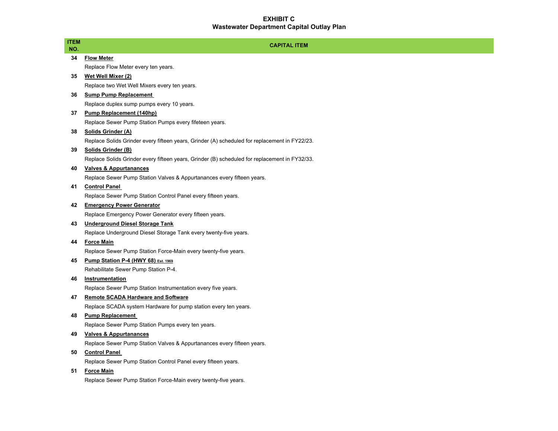| ITEM<br>NO. | <b>CAPITAL ITEM</b>                                                                           |
|-------------|-----------------------------------------------------------------------------------------------|
| 34          | <b>Flow Meter</b>                                                                             |
|             | Replace Flow Meter every ten years.                                                           |
| 35          | Wet Well Mixer (2)                                                                            |
|             | Replace two Wet Well Mixers every ten years.                                                  |
| 36          | <b>Sump Pump Replacement</b>                                                                  |
|             | Replace duplex sump pumps every 10 years.                                                     |
| 37          | Pump Replacement (140hp)                                                                      |
|             | Replace Sewer Pump Station Pumps every fifeteen years.                                        |
| 38          | Solids Grinder (A)                                                                            |
|             | Replace Solids Grinder every fifteen years, Grinder (A) scheduled for replacement in FY22/23. |
| 39          | Solids Grinder (B)                                                                            |
|             | Replace Solids Grinder every fifteen years, Grinder (B) scheduled for replacement in FY32/33. |
| 40          | <b>Valves &amp; Appurtanances</b>                                                             |
|             | Replace Sewer Pump Station Valves & Appurtanances every fifteen years.                        |
| 41          | <b>Control Panel</b>                                                                          |
|             | Replace Sewer Pump Station Control Panel every fifteen years.                                 |
| 42          | <b>Emergency Power Generator</b>                                                              |
|             | Replace Emergency Power Generator every fifteen years.                                        |
| 43          | <b>Underground Diesel Storage Tank</b>                                                        |
|             | Replace Underground Diesel Storage Tank every twenty-five years.                              |
| 44          | <b>Force Main</b>                                                                             |
|             | Replace Sewer Pump Station Force-Main every twenty-five years.                                |
| 45          | Pump Station P-4 (HWY 68) Est. 1969                                                           |
|             | Rehabilitate Sewer Pump Station P-4.                                                          |
| 46          | Instrumentation                                                                               |
|             | Replace Sewer Pump Station Instrumentation every five years.                                  |
| 47          | <b>Remote SCADA Hardware and Software</b>                                                     |
|             | Replace SCADA system Hardware for pump station every ten years.                               |
| 48          | <b>Pump Replacement</b>                                                                       |
|             | Replace Sewer Pump Station Pumps every ten years.                                             |
| 49          | <b>Valves &amp; Appurtanances</b>                                                             |
|             | Replace Sewer Pump Station Valves & Appurtanances every fifteen years.                        |
| 50          | <b>Control Panel</b>                                                                          |
|             | Replace Sewer Pump Station Control Panel every fifteen years.                                 |
| 51          | <b>Force Main</b>                                                                             |
|             | Replace Sewer Pump Station Force-Main every twenty-five years.                                |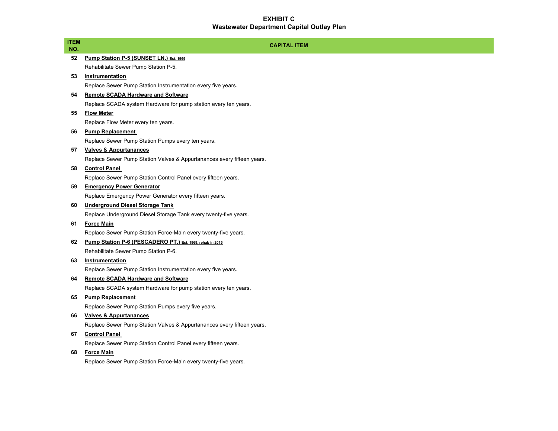| <b>ITEM</b><br>NO. | <b>CAPITAL ITEM</b>                                                    |
|--------------------|------------------------------------------------------------------------|
| 52                 | Pump Station P-5 (SUNSET LN.) Est. 1969                                |
|                    | Rehabilitate Sewer Pump Station P-5.                                   |
| 53                 | Instrumentation                                                        |
|                    | Replace Sewer Pump Station Instrumentation every five years.           |
| 54                 | <b>Remote SCADA Hardware and Software</b>                              |
|                    | Replace SCADA system Hardware for pump station every ten years.        |
| 55                 | <b>Flow Meter</b>                                                      |
|                    | Replace Flow Meter every ten years.                                    |
| 56                 | <b>Pump Replacement</b>                                                |
|                    | Replace Sewer Pump Station Pumps every ten years.                      |
| 57                 | <b>Valves &amp; Appurtanances</b>                                      |
|                    | Replace Sewer Pump Station Valves & Appurtanances every fifteen years. |
| 58                 | <b>Control Panel</b>                                                   |
|                    | Replace Sewer Pump Station Control Panel every fifteen years.          |
| 59                 | <b>Emergency Power Generator</b>                                       |
|                    | Replace Emergency Power Generator every fifteen years.                 |
| 60                 | <b>Underground Diesel Storage Tank</b>                                 |
|                    | Replace Underground Diesel Storage Tank every twenty-five years.       |
| 61                 | <b>Force Main</b>                                                      |
|                    | Replace Sewer Pump Station Force-Main every twenty-five years.         |
| 62                 | Pump Station P-6 (PESCADERO PT.) Est. 1969, rehab in 2015              |
|                    | Rehabilitate Sewer Pump Station P-6.                                   |
| 63                 | Instrumentation                                                        |
|                    | Replace Sewer Pump Station Instrumentation every five years.           |
| 64                 | <b>Remote SCADA Hardware and Software</b>                              |
|                    | Replace SCADA system Hardware for pump station every ten years.        |
| 65                 | <b>Pump Replacement</b>                                                |
|                    | Replace Sewer Pump Station Pumps every five years.                     |
| 66                 | <b>Valves &amp; Appurtanances</b>                                      |
|                    | Replace Sewer Pump Station Valves & Appurtanances every fifteen years. |
| 67                 | <b>Control Panel</b>                                                   |
|                    | Replace Sewer Pump Station Control Panel every fifteen years.          |
| 68                 | <b>Force Main</b>                                                      |
|                    | Replace Sewer Pump Station Force-Main every twenty-five years.         |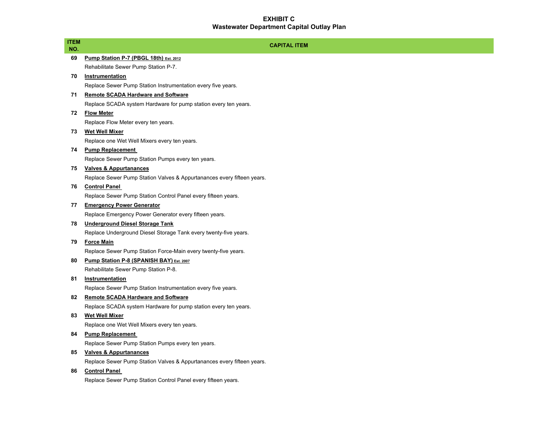| <b>ITEM</b> | <b>CAPITAL ITEM</b>                                                    |
|-------------|------------------------------------------------------------------------|
| NO.         |                                                                        |
| 69          | Pump Station P-7 (PBGL 18th) Est. 2012                                 |
|             | Rehabilitate Sewer Pump Station P-7.                                   |
| 70          | <b>Instrumentation</b>                                                 |
|             | Replace Sewer Pump Station Instrumentation every five years.           |
| 71          | <b>Remote SCADA Hardware and Software</b>                              |
|             | Replace SCADA system Hardware for pump station every ten years.        |
| 72          | <b>Flow Meter</b>                                                      |
|             | Replace Flow Meter every ten years.                                    |
| 73          | <b>Wet Well Mixer</b>                                                  |
|             | Replace one Wet Well Mixers every ten years.                           |
| 74          | <b>Pump Replacement</b>                                                |
|             | Replace Sewer Pump Station Pumps every ten years.                      |
| 75          | <b>Valves &amp; Appurtanances</b>                                      |
|             | Replace Sewer Pump Station Valves & Appurtanances every fifteen years. |
| 76          | <b>Control Panel</b>                                                   |
|             | Replace Sewer Pump Station Control Panel every fifteen years.          |
| 77          | <b>Emergency Power Generator</b>                                       |
|             | Replace Emergency Power Generator every fifteen years.                 |
| 78          | <b>Underground Diesel Storage Tank</b>                                 |
|             | Replace Underground Diesel Storage Tank every twenty-five years.       |
| 79          | <b>Force Main</b>                                                      |
|             | Replace Sewer Pump Station Force-Main every twenty-five years.         |
| 80          | Pump Station P-8 (SPANISH BAY) Est. 2007                               |
|             | Rehabilitate Sewer Pump Station P-8.                                   |
| 81          | Instrumentation                                                        |
|             | Replace Sewer Pump Station Instrumentation every five years.           |
| 82          | <b>Remote SCADA Hardware and Software</b>                              |
|             | Replace SCADA system Hardware for pump station every ten years.        |
| 83          | <b>Wet Well Mixer</b>                                                  |
|             | Replace one Wet Well Mixers every ten years.                           |
| 84          | <b>Pump Replacement</b>                                                |
|             | Replace Sewer Pump Station Pumps every ten years.                      |
| 85          | <b>Valves &amp; Appurtanances</b>                                      |
|             | Replace Sewer Pump Station Valves & Appurtanances every fifteen years. |
| 86          | <b>Control Panel</b>                                                   |
|             | Replace Sewer Pump Station Control Panel every fifteen years.          |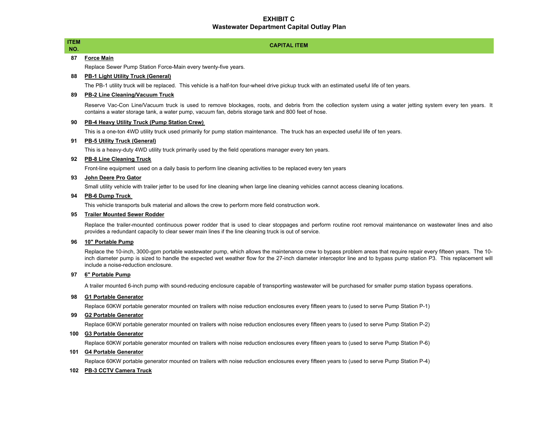# ITEM<br>NO. 2006. The second contract of the second contract of the second contract of the second capital ite<br>NO. 2006. The second contract of the second contract of the second contract of the second contract of the second **87 Force Main**

Replace Sewer Pump Station Force-Main every twenty-five years.

#### **88 PB-1 Light Utility Truck (General)**

The PB-1 utility truck will be replaced. This vehicle is a half-ton four-wheel drive pickup truck with an estimated useful life of ten years.

#### **89 PB-2 Line Cleaning/Vacuum Truck**

Reserve Vac-Con Line/Vacuum truck is used to remove blockages, roots, and debris from the collection system using <sup>a</sup> water jetting system every ten years. It contains a water storage tank, a water pump, vacuum fan, debris storage tank and 800 feet of hose.

**CAPITAL ITEM**

#### **90 PB-4 Heavy Utility Truck (Pump Station Crew)**

This is a one-ton 4WD utility truck used primarily for pump station maintenance. The truck has an expected useful life of ten years.

#### **91 PB-5 Utility Truck (General)**

This is a heavy-duty 4WD utility truck primarily used by the field operations manager every ten years.

#### **92 PB-8 Line Cleaning Truck**

Front-line equipment used on a daily basis to perform line cleaning activities to be replaced every ten years

#### **93 John Deere Pro Gator**

Small utility vehicle with trailer jetter to be used for line cleaning when large line cleaning vehicles cannot access cleaning locations.

#### **94 PB-6 Dump Truck**

This vehicle transports bulk material and allows the crew to perform more field construction work.

#### **95 Trailer Mounted Sewer Rodder**

Replace the trailer-mounted continuous power rodder that is used to clear stoppages and perform routine root removal maintenance on wastewater lines and also provides a redundant capacity to clear sewer main lines if the line cleaning truck is out of service.

#### **96 10" Portable Pump**

Replace the 10-inch, 3000-gpm portable wastewater pump, which allows the maintenance crew to bypass problem areas that require repair every fifteen years. The 10 inch diameter pump is sized to handle the expected wet weather flow for the 27-inch diameter interceptor line and to bypass pump station P3. This replacement will include a noise-reduction enclosure.

#### **97 6" Portable Pump**

A trailer mounted 6-inch pump with sound-reducing enclosure capable of transporting wastewater will be purchased for smaller pump station bypass operations.

#### **98 G1 Portable Generator**

Replace 60KW portable generator mounted on trailers with noise reduction enclosures every fifteen years to (used to serve Pump Station P-1)

#### **99 G2 Portable Generator**

Replace 60KW portable generator mounted on trailers with noise reduction enclosures every fifteen years to (used to serve Pump Station P-2)

#### **100 G3 Portable Generator**

Replace 60KW portable generator mounted on trailers with noise reduction enclosures every fifteen years to (used to serve Pump Station P-6)

#### **101 G4 Portable Generator**

Replace 60KW portable generator mounted on trailers with noise reduction enclosures every fifteen years to (used to serve Pump Station P-4)

#### **102 PB-3 CCTV Camera Truck**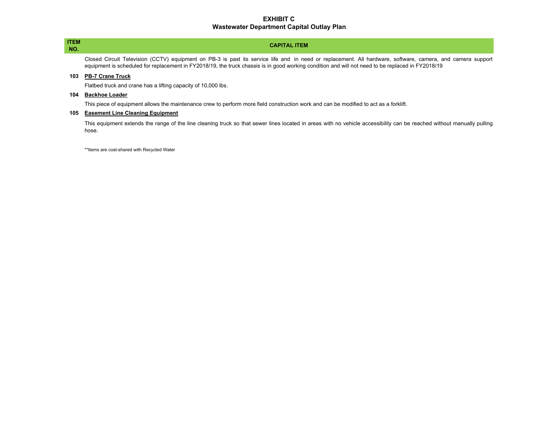# NO.

#### **CAPITAL ITEM**ITEM<br>NO. 2006. The second contract of the second contract of the second contract of the second capital ite<br>NO. 2006. The second contract of the second contract of the second contract of the second contract of the second

Closed Circuit Television (CCTV) equipment on PB-3 is past its service life and in need or replacement. All hardware, software, camera, and camera support equipment is scheduled for replacement in FY2018/19, the truck chassis is in good working condition and will not need to be replaced in FY2018/19

#### **103 PB-7 Crane Truck**

Flatbed truck and crane has a lifting capacity of 10,000 lbs.

#### **104 Backhoe Loader**

This piece of equipment allows the maintenance crew to perform more field construction work and can be modified to act as a forklift.

#### **105 Easement Line Cleaning Equipment**

This equipment extends the range of the line cleaning truck so that sewer lines located in areas with no vehicle accessibility can be reached without manually pulling hose.

\*\*Items are cost-shared with Recycled Water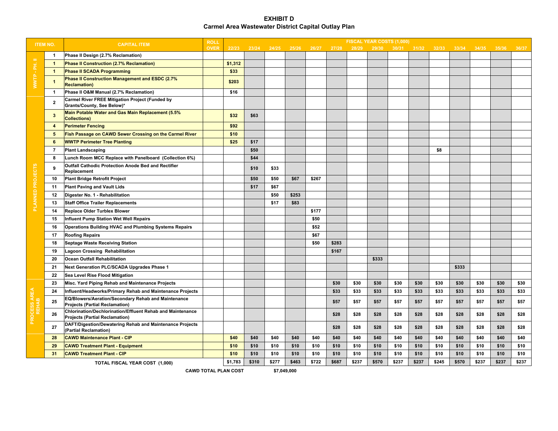#### **EXHIBIT D Carmel Area Wastewater District Capital Outlay Plan**

| <b>ITEM NO.</b>    |                | <b>CAPITAL ITEM</b>                                                                                 | <b>ROLL</b> |                           |       |       |            |       |       |       |       | FISCAL YEAR COSTS (1,000) |       |       |       |       |       |       |
|--------------------|----------------|-----------------------------------------------------------------------------------------------------|-------------|---------------------------|-------|-------|------------|-------|-------|-------|-------|---------------------------|-------|-------|-------|-------|-------|-------|
|                    |                |                                                                                                     | <b>OVER</b> | 22/23                     | 23/24 | 24/25 | 25/26      | 26/27 | 27/28 | 28/29 | 29/30 | 30/31                     | 31/32 | 32/33 | 33/34 | 34/35 | 35/36 | 36/37 |
| $=$                | $\mathbf{1}$   | Phase II Design (2.7% Reclamation)                                                                  |             |                           |       |       |            |       |       |       |       |                           |       |       |       |       |       |       |
| 족                  | $\mathbf{1}$   | Phase II Construction (2.7% Reclamation)                                                            |             | \$1,312                   |       |       |            |       |       |       |       |                           |       |       |       |       |       |       |
|                    | -1             | <b>Phase II SCADA Programming</b>                                                                   |             | \$33                      |       |       |            |       |       |       |       |                           |       |       |       |       |       |       |
| <b>WWTP</b>        | -1             | Phase II Construction Management and ESDC (2.7%<br><b>Reclamation</b> )                             |             | \$203                     |       |       |            |       |       |       |       |                           |       |       |       |       |       |       |
|                    | $\mathbf{1}$   | Phase II O&M Manual (2.7% Reclamation)                                                              |             | \$16                      |       |       |            |       |       |       |       |                           |       |       |       |       |       |       |
|                    | $\mathbf{2}$   | <b>Carmel River FREE Mitigation Project (Funded by</b><br>Grants/County, See Below)*                |             |                           |       |       |            |       |       |       |       |                           |       |       |       |       |       |       |
|                    | 3              | Main Potable Water and Gas Main Replacement (5.5%<br><b>Collections</b> )                           |             | \$32                      | \$63  |       |            |       |       |       |       |                           |       |       |       |       |       |       |
|                    | 4              | <b>Perimeter Fencing</b>                                                                            |             | \$92                      |       |       |            |       |       |       |       |                           |       |       |       |       |       |       |
|                    | 5              | Fish Passage on CAWD Sewer Crossing on the Carmel River                                             |             | \$10                      |       |       |            |       |       |       |       |                           |       |       |       |       |       |       |
|                    | 6              | <b>WWTP Perimeter Tree Planting</b>                                                                 |             | \$25                      | \$17  |       |            |       |       |       |       |                           |       |       |       |       |       |       |
|                    | $\overline{7}$ | <b>Plant Landscaping</b>                                                                            |             |                           | \$50  |       |            |       |       |       |       |                           |       | \$8   |       |       |       |       |
|                    | 8              | Lunch Room MCC Replace with Panelboard (Collection 6%)                                              |             |                           | \$44  |       |            |       |       |       |       |                           |       |       |       |       |       |       |
| PLANNED PROJECTS   | ۰q             | <b>Outfall Cathodic Protection Anode Bed and Rectifier</b><br>Replacement                           |             |                           | \$10  | \$33  |            |       |       |       |       |                           |       |       |       |       |       |       |
|                    | 10             | <b>Plant Bridge Retrofit Project</b>                                                                |             |                           | \$50  | \$50  | \$67       | \$267 |       |       |       |                           |       |       |       |       |       |       |
|                    | 11             | <b>Plant Paving and Vault Lids</b>                                                                  |             |                           | \$17  | \$67  |            |       |       |       |       |                           |       |       |       |       |       |       |
|                    | 12             | Digester No. 1 - Rehabilitation                                                                     |             |                           |       | \$50  | \$253      |       |       |       |       |                           |       |       |       |       |       |       |
|                    | 13             | <b>Staff Office Trailer Replacements</b>                                                            |             |                           |       | \$17  | \$83       |       |       |       |       |                           |       |       |       |       |       |       |
|                    | 14             | Replace Older Turblex Blower                                                                        |             |                           |       |       |            | \$177 |       |       |       |                           |       |       |       |       |       |       |
|                    | 15             | Influent Pump Station Wet Well Repairs                                                              |             |                           |       |       |            | \$50  |       |       |       |                           |       |       |       |       |       |       |
|                    | 16             | <b>Operations Building HVAC and Plumbing Systems Repairs</b>                                        |             |                           |       |       |            | \$52  |       |       |       |                           |       |       |       |       |       |       |
|                    | 17             | <b>Roofing Repairs</b>                                                                              |             |                           |       |       |            | \$67  |       |       |       |                           |       |       |       |       |       |       |
|                    | 18             | <b>Septage Waste Receiving Station</b>                                                              |             |                           |       |       |            | \$50  | \$283 |       |       |                           |       |       |       |       |       |       |
|                    | 19             | Lagoon Crossing Rehabilitation                                                                      |             |                           |       |       |            |       | \$167 |       |       |                           |       |       |       |       |       |       |
|                    | 20             | Ocean Outfall Rehabilitation                                                                        |             |                           |       |       |            |       |       |       | \$333 |                           |       |       |       |       |       |       |
|                    | 21             | <b>Next Generation PLC/SCADA Upgrades Phase 1</b>                                                   |             |                           |       |       |            |       |       |       |       |                           |       |       | \$333 |       |       |       |
|                    | 22             | Sea Level Rise Flood Mitigation                                                                     |             |                           |       |       |            |       |       |       |       |                           |       |       |       |       |       |       |
|                    | 23             | Misc. Yard Piping Rehab and Maintenance Projects                                                    |             |                           |       |       |            |       | \$30  | \$30  | \$30  | \$30                      | \$30  | \$30  | \$30  | \$30  | \$30  | \$30  |
|                    | 24             | Influent/Headworks/Primary Rehab and Maintenance Projects                                           |             |                           |       |       |            |       | \$33  | \$33  | \$33  | \$33                      | \$33  | \$33  | \$33  | \$33  | \$33  | \$33  |
| <b>COCESS AREA</b> | 25             | EQ/Blowers/Aeration/Secondary Rehab and Maintenance<br><b>Projects (Partial Reclamation)</b>        |             |                           |       |       |            |       | \$57  | \$57  | \$57  | \$57                      | \$57  | \$57  | \$57  | \$57  | \$57  | \$57  |
|                    | 26             | Chlorination/Dechlorination/Effluent Rehab and Maintenance<br><b>Projects (Partial Reclamation)</b> |             |                           |       |       |            |       | \$28  | \$28  | \$28  | \$28                      | \$28  | \$28  | \$28  | \$28  | \$28  | \$28  |
| 좀                  | 27             | DAFT/Digestion/Dewatering Rehab and Maintenance Projects<br>(Partial Reclamation)                   |             |                           |       |       |            |       | \$28  | \$28  | \$28  | \$28                      | \$28  | \$28  | \$28  | \$28  | \$28  | \$28  |
|                    | 28             | <b>CAWD Maintenance Plant - CIP</b>                                                                 |             | \$40                      | \$40  | \$40  | \$40       | \$40  | \$40  | \$40  | \$40  | \$40                      | \$40  | \$40  | \$40  | \$40  | \$40  | \$40  |
|                    | 29             | <b>CAWD Treatment Plant - Equipment</b>                                                             |             | \$10                      | \$10  | \$10  | \$10       | \$10  | \$10  | \$10  | \$10  | \$10                      | \$10  | \$10  | \$10  | \$10  | \$10  | \$10  |
|                    | 31             | <b>CAWD Treatment Plant - CIP</b>                                                                   |             | \$10                      | \$10  | \$10  | \$10       | \$10  | \$10  | \$10  | \$10  | \$10                      | \$10  | \$10  | \$10  | \$10  | \$10  | \$10  |
|                    |                | TOTAL FISCAL YEAR COST (1,000)                                                                      |             | \$1,783                   | \$310 | \$277 | \$463      | \$722 | \$687 | \$237 | \$570 | \$237                     | \$237 | \$245 | \$570 | \$237 | \$237 | \$237 |
|                    |                |                                                                                                     |             | $0.11100$ TOTAL BLAN COOT |       |       | $5 - 0.10$ |       |       |       |       |                           |       |       |       |       |       |       |

**CAWD TOTAL PLAN COST**

**\$7,049,000**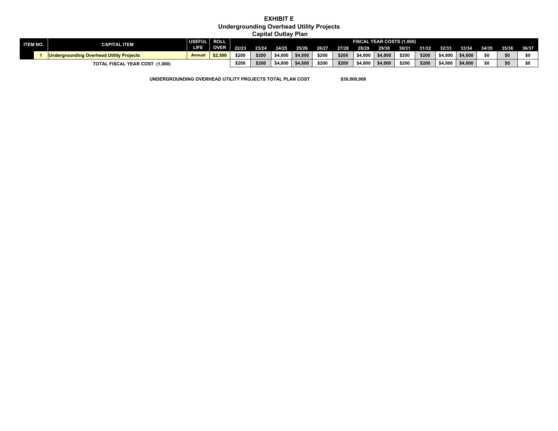### **EXHIBIT E Undergrounding Overhead Utility Projects**

 **Capital Outlay Plan**

| <b>ITEM NO.</b> | <b>CAPITAL ITEM</b>                                                          | USEFUL ROLL   |            | FISCAL YEAR COSTS (1,000) |       |         |         |       |       |         |         |       |       |         |                         |     |     |     |
|-----------------|------------------------------------------------------------------------------|---------------|------------|---------------------------|-------|---------|---------|-------|-------|---------|---------|-------|-------|---------|-------------------------|-----|-----|-----|
|                 |                                                                              | LIFE.         | OVER 22/23 |                           | 23/24 | 24/25   | 25/26   | 26/27 | 27/28 | 28/29   | 29/30   | 30/31 | 31/32 | 32/33   | 33/34 34/35 35/36 36/37 |     |     |     |
|                 | <b>IDIDENSIA CONTROLLY IN THE UP TO A THR</b> UP TO UP TO UP TO UP TO LCCCLE | <b>Annual</b> | \$2,500    | \$200                     | \$200 | \$4.800 | \$4,800 | \$200 | \$200 | \$4,800 | \$4,800 | \$200 | \$200 | \$4,800 | \$4.800                 | \$0 | \$0 | \$0 |
|                 | TOTAL FISCAL YEAR COST (1,000)                                               |               |            | \$200                     | \$200 | \$4.800 | \$4,800 | \$200 | \$200 | \$4,800 | \$4,800 | \$200 | \$200 | \$4,800 | \$4,800                 | \$0 | \$0 | \$0 |

**UNDERGROUNDING OVERHEAD UTILITY PROJECTS TOTAL PLAN COST \$30,000,000**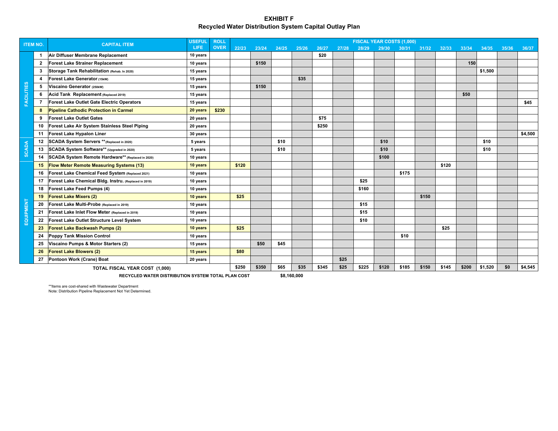#### **EXHIBIT FRecycled Water Distribution System Capital Outlay Plan**

| <b>ITEM NO.</b>   |                  | <b>CAPITAL ITEM</b>                                   | <b>USEFUL</b> | <b>ROLL</b> |       |       |       |       |       |       |       | FISCAL YEAR COSTS (1,000) |       |       |         |       |         |       |         |  |  |  |  |
|-------------------|------------------|-------------------------------------------------------|---------------|-------------|-------|-------|-------|-------|-------|-------|-------|---------------------------|-------|-------|---------|-------|---------|-------|---------|--|--|--|--|
|                   |                  |                                                       | <b>LIFE</b>   | <b>OVER</b> | 22/23 | 23/24 | 24/25 | 25/26 | 26/27 | 27/28 | 28/29 | 29/30                     | 30/31 | 31/32 | 32/33   | 33/34 | 34/35   | 35/36 | 36/37   |  |  |  |  |
|                   | $\overline{1}$   | Air Diffuser Membrane Replacement                     | 10 years      |             |       |       |       |       | \$20  |       |       |                           |       |       |         |       |         |       |         |  |  |  |  |
|                   | $\overline{2}$   | <b>Forest Lake Strainer Replacement</b>               | 10 years      |             |       | \$150 |       |       |       |       |       |                           |       |       |         | 150   |         |       |         |  |  |  |  |
|                   | 3                | Storage Tank Rehabilitation (Rehab. In 2020)          | 15 years      |             |       |       |       |       |       |       |       |                           |       |       |         |       | \$1,500 |       |         |  |  |  |  |
|                   | $\boldsymbol{4}$ | Forest Lake Generator (15kW)                          | 15 years      |             |       |       |       | \$35  |       |       |       |                           |       |       |         |       |         |       |         |  |  |  |  |
|                   | 5                | Viscaino Generator (250kW)                            | 15 years      |             |       | \$150 |       |       |       |       |       |                           |       |       |         |       |         |       |         |  |  |  |  |
|                   | 6                | Acid Tank Replacement (Replaced 2019)                 | 15 years      |             |       |       |       |       |       |       |       |                           |       |       |         | \$50  |         |       |         |  |  |  |  |
| <b>FACILITIES</b> |                  | <b>Forest Lake Outlet Gate Electric Operators</b>     | 15 years      |             |       |       |       |       |       |       |       |                           |       |       |         |       |         |       | \$45    |  |  |  |  |
|                   | 8                | <b>Pipeline Cathodic Protection in Carmel</b>         | 20 years      | \$230       |       |       |       |       |       |       |       |                           |       |       |         |       |         |       |         |  |  |  |  |
|                   | 9                | <b>Forest Lake Outlet Gates</b>                       | 20 years      |             |       |       |       |       | \$75  |       |       |                           |       |       |         |       |         |       |         |  |  |  |  |
|                   | 10               | Forest Lake Air System Stainless Steel Piping         | 20 years      |             |       |       |       |       | \$250 |       |       |                           |       |       |         |       |         |       |         |  |  |  |  |
|                   | 11               | <b>Forest Lake Hypalon Liner</b>                      | 30 years      |             |       |       |       |       |       |       |       |                           |       |       |         |       |         |       | \$4,500 |  |  |  |  |
|                   | 12               | SCADA System Servers ** (Replaced in 2020)            | 5 years       |             |       |       | \$10  |       |       |       |       | \$10                      |       |       |         |       | \$10    |       |         |  |  |  |  |
| <b>SCADA</b>      | 13               | SCADA System Software** (Upgraded in 2020)            | 5 years       |             |       |       | \$10  |       |       |       |       | \$10                      |       |       |         |       | \$10    |       |         |  |  |  |  |
|                   | 14               | SCADA System Remote Hardware** (Replaced in 2020)     | 10 years      |             |       |       |       |       |       |       |       | \$100                     |       |       |         |       |         |       |         |  |  |  |  |
|                   | 15               | <b>Flow Meter Remote Measuring Systems (13)</b>       | 10 years      |             | \$120 |       |       |       |       |       |       |                           |       |       | \$120   |       |         |       |         |  |  |  |  |
|                   | 16               | Forest Lake Chemical Feed System (Replaced 2021)      | 10 years      |             |       |       |       |       |       |       |       |                           | \$175 |       |         |       |         |       |         |  |  |  |  |
|                   | 17               | Forest Lake Chemical Bldg. Instru. (Replaced in 2019) | 10 years      |             |       |       |       |       |       |       | \$25  |                           |       |       |         |       |         |       |         |  |  |  |  |
|                   | 18               | Forest Lake Feed Pumps (4)                            | 10 years      |             |       |       |       |       |       |       | \$160 |                           |       |       |         |       |         |       |         |  |  |  |  |
|                   | 19               | <b>Forest Lake Mixers (2)</b>                         | 10 years      |             | \$25  |       |       |       |       |       |       |                           |       | \$150 |         |       |         |       |         |  |  |  |  |
| EQUIPMENT         | 20               | Forest Lake Multi-Probe (Replaced in 2019)            | 10 years      |             |       |       |       |       |       |       | \$15  |                           |       |       |         |       |         |       |         |  |  |  |  |
|                   | 21               | Forest Lake Inlet Flow Meter (Replaced in 2019)       | 10 years      |             |       |       |       |       |       |       | \$15  |                           |       |       |         |       |         |       |         |  |  |  |  |
|                   | 22               | Forest Lake Outlet Structure Level System             | 10 years      |             |       |       |       |       |       |       | \$10  |                           |       |       |         |       |         |       |         |  |  |  |  |
|                   | 23               | Forest Lake Backwash Pumps (2)                        | 10 years      |             | \$25  |       |       |       |       |       |       |                           |       |       | \$25    |       |         |       |         |  |  |  |  |
|                   | 24               | <b>Poppy Tank Mission Control</b>                     | 10 years      |             |       |       |       |       |       |       |       |                           | \$10  |       |         |       |         |       |         |  |  |  |  |
|                   | 25               | Viscaino Pumps & Motor Starters (2)                   | 15 years      |             |       | \$50  | \$45  |       |       |       |       |                           |       |       |         |       |         |       |         |  |  |  |  |
|                   | 26               | <b>Forest Lake Blowers (2)</b>                        | 15 years      |             | \$80  |       |       |       |       |       |       |                           |       |       |         |       |         |       |         |  |  |  |  |
|                   | 27               | Pontoon Work (Crane) Boat                             | 20 years      |             |       |       |       |       |       | \$25  |       |                           |       |       |         |       |         |       |         |  |  |  |  |
|                   |                  | TOTAL FISCAL YEAR COST (1,000)                        | \$250         | \$350       | \$65  | \$35  | \$345 | \$25  | \$225 | \$120 | \$185 | \$150                     | \$145 | \$200 | \$1,520 | \$0   | \$4,545 |       |         |  |  |  |  |

**RECYCLED WATER DISTRIBUTION SYSTEM TOTAL PLAN COST**

**\$8,160,000**

\*\*Items are cost-shared with Wastewater Department Note: Distribution Pipeline Replacement Not Yet Determined.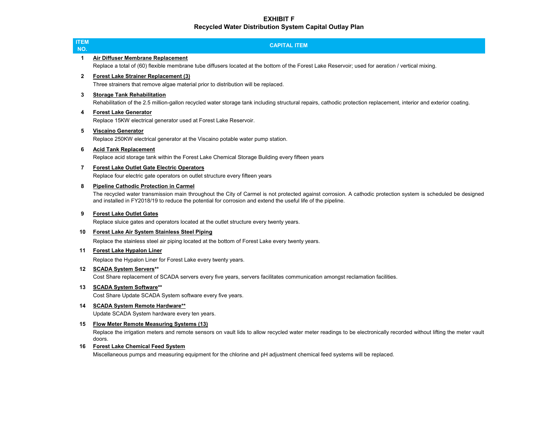### **EXHIBIT F Recycled Water Distribution System Capital Outlay Plan**

| <b>ITEM</b><br>NO. | <b>CAPITAL ITEM</b>                                                                                                                                                                                                                                                                                                           |
|--------------------|-------------------------------------------------------------------------------------------------------------------------------------------------------------------------------------------------------------------------------------------------------------------------------------------------------------------------------|
| 1                  | Air Diffuser Membrane Replacement<br>Replace a total of (60) flexible membrane tube diffusers located at the bottom of the Forest Lake Reservoir; used for aeration / vertical mixing.                                                                                                                                        |
| $\mathbf{2}$       | <b>Forest Lake Strainer Replacement (3)</b><br>Three strainers that remove algae material prior to distribution will be replaced.                                                                                                                                                                                             |
| 3                  | <b>Storage Tank Rehabilitation</b><br>Rehabilitation of the 2.5 million-gallon recycled water storage tank including structural repairs, cathodic protection replacement, interior and exterior coating.                                                                                                                      |
| 4                  | <b>Forest Lake Generator</b><br>Replace 15KW electrical generator used at Forest Lake Reservoir.                                                                                                                                                                                                                              |
| 5                  | <b>Viscaino Generator</b><br>Replace 250KW electrical generator at the Viscaino potable water pump station.                                                                                                                                                                                                                   |
| 6                  | <b>Acid Tank Replacement</b><br>Replace acid storage tank within the Forest Lake Chemical Storage Building every fifteen years                                                                                                                                                                                                |
| 7                  | <b>Forest Lake Outlet Gate Electric Operators</b><br>Replace four electric gate operators on outlet structure every fifteen years                                                                                                                                                                                             |
| 8                  | <b>Pipeline Cathodic Protection in Carmel</b><br>The recycled water transmission main throughout the City of Carmel is not protected against corrosion. A cathodic protection system is scheduled be designed<br>and installed in FY2018/19 to reduce the potential for corrosion and extend the useful life of the pipeline. |
| 9                  | <b>Forest Lake Outlet Gates</b><br>Replace sluice gates and operators located at the outlet structure every twenty years.                                                                                                                                                                                                     |
| 10                 | <b>Forest Lake Air System Stainless Steel Piping</b>                                                                                                                                                                                                                                                                          |
|                    | Replace the stainless steel air piping located at the bottom of Forest Lake every twenty years.                                                                                                                                                                                                                               |
| 11                 | <b>Forest Lake Hypalon Liner</b>                                                                                                                                                                                                                                                                                              |
|                    | Replace the Hypalon Liner for Forest Lake every twenty years.                                                                                                                                                                                                                                                                 |
| 12 <sup>12</sup>   | <b>SCADA System Servers**</b><br>Cost Share replacement of SCADA servers every five years, servers facilitates communication amongst reclamation facilities.                                                                                                                                                                  |
| 13                 | <b>SCADA System Software**</b><br>Cost Share Update SCADA System software every five years.                                                                                                                                                                                                                                   |
| 14                 | <b>SCADA System Remote Hardware**</b><br>Update SCADA System hardware every ten years.                                                                                                                                                                                                                                        |
| 15                 | <b>Flow Meter Remote Measuring Systems (13)</b><br>Replace the irrigation meters and remote sensors on vault lids to allow recycled water meter readings to be electronically recorded without lifting the meter vault                                                                                                        |
| 16                 | doors.<br><b>Forest Lake Chemical Feed System</b><br>Miscellaneous pumps and measuring equipment for the chlorine and pH adjustment chemical feed systems will be replaced.                                                                                                                                                   |
|                    |                                                                                                                                                                                                                                                                                                                               |